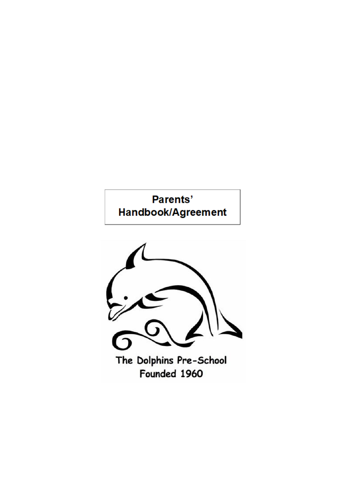# Parents' Handbook/Agreement

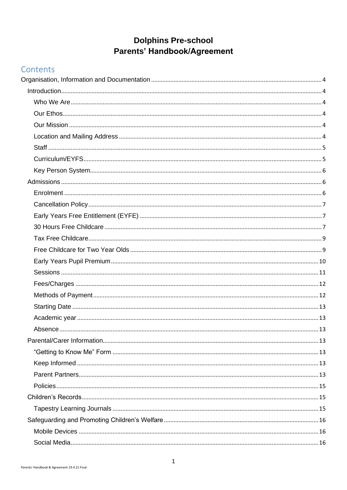## **Dolphins Pre-school** Parents' Handbook/Agreement

## Contents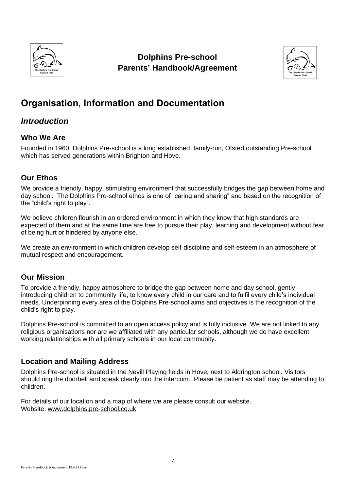

## **Dolphins Pre-school Parents' Handbook/Agreement**



## <span id="page-4-0"></span>**Organisation, Information and Documentation**

## <span id="page-4-1"></span>*Introduction*

## <span id="page-4-2"></span>**Who We Are**

Founded in 1960, Dolphins Pre-school is a long established, family-run, Ofsted outstanding Pre-school which has served generations within Brighton and Hove.

## <span id="page-4-3"></span>**Our Ethos**

We provide a friendly, happy, stimulating environment that successfully bridges the gap between home and day school. The Dolphins Pre-school ethos is one of "caring and sharing" and based on the recognition of the "child's right to play".

We believe children flourish in an ordered environment in which they know that high standards are expected of them and at the same time are free to pursue their play, learning and development without fear of being hurt or hindered by anyone else.

We create an environment in which children develop self-discipline and self-esteem in an atmosphere of mutual respect and encouragement.

## <span id="page-4-4"></span>**Our Mission**

To provide a friendly, happy atmosphere to bridge the gap between home and day school, gently introducing children to community life; to know every child in our care and to fulfil every child's individual needs. Underpinning every area of the Dolphins Pre-school aims and objectives is the recognition of the child's right to play.

Dolphins Pre-school is committed to an open access policy and is fully inclusive. We are not linked to any religious organisations nor are we affiliated with any particular schools, although we do have excellent working relationships with all primary schools in our local community.

## <span id="page-4-5"></span>**Location and Mailing Address**

Dolphins Pre-school is situated in the Nevill Playing fields in Hove, next to Aldrington school. Visitors should ring the doorbell and speak clearly into the intercom. Please be patient as staff may be attending to children.

For details of our location and a map of where we are please consult our website. Website: [www.dolphins.pre-school.co.uk](http://www.dolphins.pre-school.co.uk/)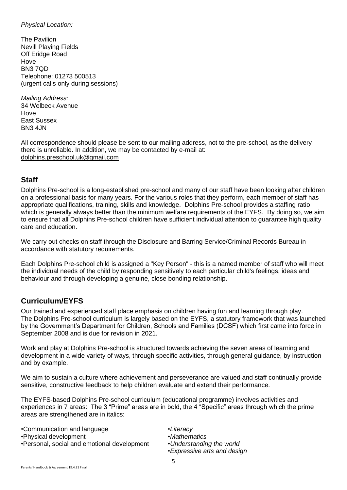### *Physical Location:*

The Pavilion Nevill Playing Fields Off Eridge Road Hove BN3 7QD Telephone: 01273 500513 (urgent calls only during sessions)

*Mailing Address:* 34 Welbeck Avenue **Hove** East Sussex BN3 4JN

All correspondence should please be sent to our mailing address, not to the pre-school, as the delivery there is unreliable. In addition, we may be contacted by e-mail at: [dolphins.preschool.uk@gmail.com](mailto:dolphins.preschool.uk@gmail.com)

## <span id="page-5-0"></span>**Staff**

Dolphins Pre-school is a long-established pre-school and many of our staff have been looking after children on a professional basis for many years. For the various roles that they perform, each member of staff has appropriate qualifications, training, skills and knowledge. Dolphins Pre-school provides a staffing ratio which is generally always better than the minimum welfare requirements of the EYFS. By doing so, we aim to ensure that all Dolphins Pre-school children have sufficient individual attention to guarantee high quality care and education.

We carry out checks on staff through the Disclosure and Barring Service/Criminal Records Bureau in accordance with statutory requirements.

Each Dolphins Pre-school child is assigned a "Key Person" - this is a named member of staff who will meet the individual needs of the child by responding sensitively to each particular child's feelings, ideas and behaviour and through developing a genuine, close bonding relationship.

## <span id="page-5-1"></span>**Curriculum/EYFS**

Our trained and experienced staff place emphasis on children having fun and learning through play. The Dolphins Pre-school curriculum is largely based on the EYFS, a statutory framework that was launched by the Government's Department for Children, Schools and Families (DCSF) which first came into force in September 2008 and is due for revision in 2021.

Work and play at Dolphins Pre-school is structured towards achieving the seven areas of learning and development in a wide variety of ways, through specific activities, through general guidance, by instruction and by example.

We aim to sustain a culture where achievement and perseverance are valued and staff continually provide sensitive, constructive feedback to help children evaluate and extend their performance.

The EYFS-based Dolphins Pre-school curriculum (educational programme) involves activities and experiences in 7 areas: The 3 "Prime" areas are in bold, the 4 "Specific" areas through which the prime areas are strengthened are in italics:

•Communication and language *•Literacy* •Physical development •*Mathematics* •Personal, social and emotional development •*Understanding the world*

- 
- 
- •*Expressive arts and design*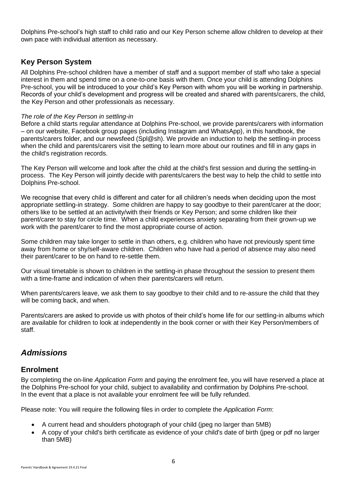Dolphins Pre-school's high staff to child ratio and our Key Person scheme allow children to develop at their own pace with individual attention as necessary.

## <span id="page-6-0"></span>**Key Person System**

All Dolphins Pre-school children have a member of staff and a support member of staff who take a special interest in them and spend time on a one-to-one basis with them. Once your child is attending Dolphins Pre-school, you will be introduced to your child's Key Person with whom you will be working in partnership. Records of your child's development and progress will be created and shared with parents/carers, the child, the Key Person and other professionals as necessary.

#### *The role of the Key Person in settling-in*

Before a child starts regular attendance at Dolphins Pre-school, we provide parents/carers with information – on our website, Facebook group pages (including Instagram and WhatsApp), in this handbook, the parents/carers folder, and our newsfeed (Spl@sh). We provide an induction to help the settling-in process when the child and parents/carers visit the setting to learn more about our routines and fill in any gaps in the child's registration records.

The Key Person will welcome and look after the child at the child's first session and during the settling-in process. The Key Person will jointly decide with parents/carers the best way to help the child to settle into Dolphins Pre-school.

We recognise that every child is different and cater for all children's needs when deciding upon the most appropriate settling-in strategy. Some children are happy to say goodbye to their parent/carer at the door; others like to be settled at an activity/with their friends or Key Person; and some children like their parent/carer to stay for circle time. When a child experiences anxiety separating from their grown-up we work with the parent/carer to find the most appropriate course of action.

Some children may take longer to settle in than others, e.g. children who have not previously spent time away from home or shy/self-aware children. Children who have had a period of absence may also need their parent/carer to be on hand to re-settle them.

Our visual timetable is shown to children in the settling-in phase throughout the session to present them with a time-frame and indication of when their parents/carers will return.

When parents/carers leave, we ask them to say goodbye to their child and to re-assure the child that they will be coming back, and when.

Parents/carers are asked to provide us with photos of their child's home life for our settling-in albums which are available for children to look at independently in the book corner or with their Key Person/members of staff.

## <span id="page-6-1"></span>*Admissions*

### <span id="page-6-2"></span>**Enrolment**

By completing the on-line *Application Form* and paying the enrolment fee, you will have reserved a place at the Dolphins Pre-school for your child, subject to availability and confirmation by Dolphins Pre-school. In the event that a place is not available your enrolment fee will be fully refunded.

Please note: You will require the following files in order to complete the *Application Form*:

- A current head and shoulders photograph of your child (jpeg no larger than 5MB)
- A copy of your child's birth certificate as evidence of your child's date of birth (jpeg or pdf no larger than 5MB)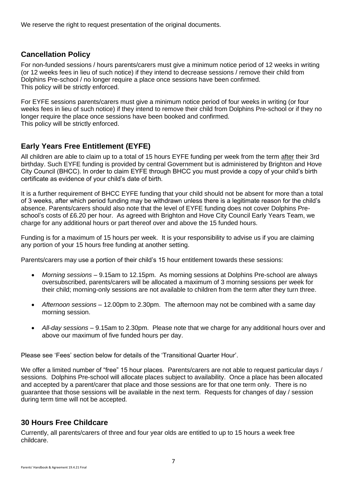We reserve the right to request presentation of the original documents.

## <span id="page-7-0"></span>**Cancellation Policy**

For non-funded sessions / hours parents/carers must give a minimum notice period of 12 weeks in writing (or 12 weeks fees in lieu of such notice) if they intend to decrease sessions / remove their child from Dolphins Pre-school / no longer require a place once sessions have been confirmed. This policy will be strictly enforced.

For EYFE sessions parents/carers must give a minimum notice period of four weeks in writing (or four weeks fees in lieu of such notice) if they intend to remove their child from Dolphins Pre-school or if they no longer require the place once sessions have been booked and confirmed. This policy will be strictly enforced.

## <span id="page-7-1"></span>**Early Years Free Entitlement (EYFE)**

All children are able to claim up to a total of 15 hours EYFE funding per week from the term after their 3rd birthday. Such EYFE funding is provided by central Government but is administered by Brighton and Hove City Council (BHCC). In order to claim EYFE through BHCC you must provide a copy of your child's birth certificate as evidence of your child's date of birth.

It is a further requirement of BHCC EYFE funding that your child should not be absent for more than a total of 3 weeks, after which period funding may be withdrawn unless there is a legitimate reason for the child's absence. Parents/carers should also note that the level of EYFE funding does not cover Dolphins Preschool's costs of £6.20 per hour. As agreed with Brighton and Hove City Council Early Years Team, we charge for any additional hours or part thereof over and above the 15 funded hours.

Funding is for a maximum of 15 hours per week. It is your responsibility to advise us if you are claiming any portion of your 15 hours free funding at another setting.

Parents/carers may use a portion of their child's 15 hour entitlement towards these sessions:

- *Morning sessions* 9.15am to 12.15pm. As morning sessions at Dolphins Pre-school are always oversubscribed, parents/carers will be allocated a maximum of 3 morning sessions per week for their child; morning-only sessions are not available to children from the term after they turn three.
- *Afternoon sessions* 12.00pm to 2.30pm. The afternoon may not be combined with a same day morning session.
- *All-day sessions* 9.15am to 2.30pm. Please note that we charge for any additional hours over and above our maximum of five funded hours per day.

Please see 'Fees' section below for details of the 'Transitional Quarter Hour'.

We offer a limited number of "free" 15 hour places. Parents/carers are not able to request particular days / sessions. Dolphins Pre-school will allocate places subject to availability. Once a place has been allocated and accepted by a parent/carer that place and those sessions are for that one term only. There is no guarantee that those sessions will be available in the next term. Requests for changes of day / session during term time will not be accepted.

## <span id="page-7-2"></span>**30 Hours Free Childcare**

Currently, all parents/carers of three and four year olds are entitled to up to 15 hours a week free childcare.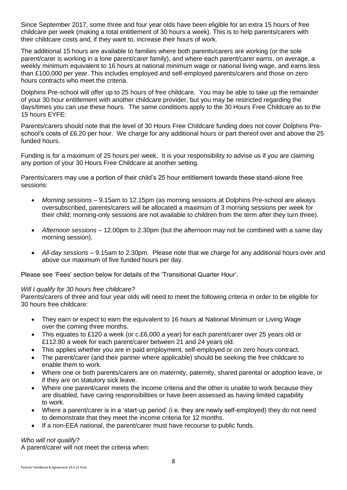Since September 2017, some three and four year olds have been eligible for an extra 15 hours of free childcare per week (making a total entitlement of 30 hours a week). This is to help parents/carers with their childcare costs and, if they want to, increase their hours of work.

The additional 15 hours are available to families where both parents/carers are working (or the sole parent/carer is working in a lone parent/carer family), and where each parent/carer earns, on average, a weekly minimum equivalent to 16 hours at national minimum wage or national living wage, and earns less than £100,000 per year. This includes employed and self-employed parents/carers and those on zero hours contracts who meet the criteria.

Dolphins Pre-school will offer up to 25 hours of free childcare. You may be able to take up the remainder of your 30 hour entitlement with another childcare provider, but you may be restricted regarding the days/times you can use these hours. The same conditions apply to the 30 Hours Free Childcare as to the 15 hours EYFE:

Parents/carers should note that the level of 30 Hours Free Childcare funding does not cover Dolphins Preschool's costs of £6.20 per hour. We charge for any additional hours or part thereof over and above the 25 funded hours.

Funding is for a maximum of 25 hours per week. It is your responsibility to advise us if you are claiming any portion of your 30 Hours Free Childcare at another setting.

Parents/carers may use a portion of their child's 25 hour entitlement towards these stand-alone free sessions:

- *Morning sessions* 9.15am to 12.15pm (as morning sessions at Dolphins Pre-school are always oversubscribed, parents/carers will be allocated a maximum of 3 morning sessions per week for their child; morning-only sessions are not available to children from the term after they turn three).
- *Afternoon sessions* 12.00pm to 2.30pm (but the afternoon may not be combined with a same day morning session).
- *All-day sessions* 9.15am to 2.30pm. Please note that we charge for any additional hours over and above our maximum of five funded hours per day.

Please see 'Fees' section below for details of the 'Transitional Quarter Hour'.

#### *Will I qualify for 30 hours free childcare?*

Parents/carers of three and four year olds will need to meet the following criteria in order to be eligible for 30 hours free childcare:

- They earn or expect to earn the equivalent to 16 hours at National Minimum or Living Wage over the coming three months.
- This equates to £120 a week (or c.£6,000 a year) for each parent/carer over 25 years old or £112.80 a week for each parent/carer between 21 and 24 years old.
- This applies whether you are in paid employment, self-employed or on zero hours contract.
- The parent/carer (and their partner where applicable) should be seeking the free childcare to enable them to work.
- Where one or both parents/carers are on maternity, paternity, shared parental or adoption leave, or if they are on statutory sick leave.
- Where one parent/carer meets the income criteria and the other is unable to work because they are disabled, have caring responsibilities or have been assessed as having limited capability to work.
- Where a parent/carer is in a 'start-up period' (i.e. they are newly self-employed) they do not need to demonstrate that they meet the income criteria for 12 months.
- If a non-EEA national, the parent/carer must have recourse to public funds.

#### *Who will not qualify?*

A parent/carer will not meet the criteria when: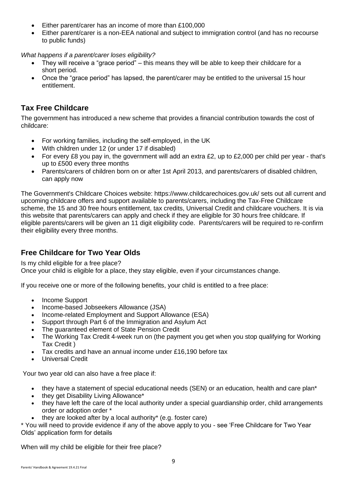- Either parent/carer has an income of more than £100,000
- Either parent/carer is a non-EEA national and subject to immigration control (and has no recourse to public funds)

*What happens if a parent/carer loses eligibility?*

- They will receive a "grace period" this means they will be able to keep their childcare for a short period.
- Once the "grace period" has lapsed, the parent/carer may be entitled to the universal 15 hour entitlement.

## <span id="page-9-0"></span>**Tax Free Childcare**

The government has introduced a new scheme that provides a financial contribution towards the cost of childcare:

- For working families, including the self-employed, in the UK
- With children under 12 (or under 17 if disabled)
- For every £8 you pay in, the government will add an extra £2, up to £2,000 per child per year that's up to £500 every three months
- Parents/carers of children born on or after 1st April 2013, and parents/carers of disabled children, can apply now

The Government's Childcare Choices website: https://www.childcarechoices.gov.uk/ sets out all current and upcoming childcare offers and support available to parents/carers, including the Tax-Free Childcare scheme, the 15 and 30 free hours entitlement, tax credits, Universal Credit and childcare vouchers. It is via this website that parents/carers can apply and check if they are eligible for 30 hours free childcare. If eligible parents/carers will be given an 11 digit eligibility code. Parents/carers will be required to re-confirm their eligibility every three months.

## <span id="page-9-1"></span>**Free Childcare for Two Year Olds**

Is my child eligible for a free place?

Once your child is eligible for a place, they stay eligible, even if your circumstances change.

If you receive one or more of the following benefits, your child is entitled to a free place:

- Income Support
- Income-based Jobseekers Allowance (JSA)
- Income-related Employment and Support Allowance (ESA)
- Support through Part 6 of the Immigration and Asylum Act
- The quaranteed element of State Pension Credit
- The Working Tax Credit 4-week run on (the payment you get when you stop qualifying for Working Tax Credit )
- Tax credits and have an annual income under £16,190 before tax
- Universal Credit

Your two year old can also have a free place if:

- they have a statement of special educational needs (SEN) or an education, health and care plan<sup>\*</sup>
- they get Disability Living Allowance\*
- they have left the care of the local authority under a special guardianship order, child arrangements order or adoption order \*
- they are looked after by a local authority\* (e.g. foster care)

\* You will need to provide evidence if any of the above apply to you - see 'Free Childcare for Two Year Olds' application form for details

When will my child be eligible for their free place?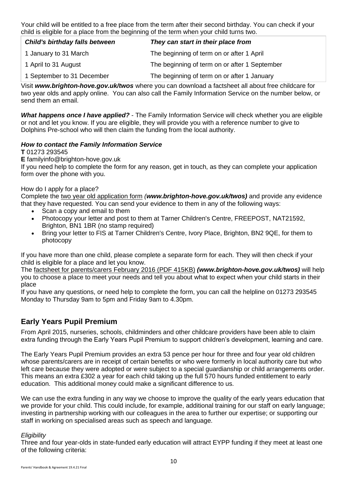Your child will be entitled to a free place from the term after their second birthday. You can check if your child is eligible for a place from the beginning of the term when your child turns two.

| <b>Child's birthday falls between</b> | They can start in their place from            |  |  |  |  |  |
|---------------------------------------|-----------------------------------------------|--|--|--|--|--|
| 1 January to 31 March                 | The beginning of term on or after 1 April     |  |  |  |  |  |
| 1 April to 31 August                  | The beginning of term on or after 1 September |  |  |  |  |  |
| 1 September to 31 December            | The beginning of term on or after 1 January   |  |  |  |  |  |

Visit *www.brighton-hove.gov.uk/twos* where you can download a factsheet all about free childcare for two year olds and apply online. You can also call the Family Information Service on the number below, or send them an email

*What happens once I have applied?* - The Family Information Service will check whether you are eligible or not and let you know. If you are eligible, they will provide you with a reference number to give to Dolphins Pre-school who will then claim the funding from the local authority.

### *How to contact the Family Information Service*

#### **T** 01273 293545

#### **E** familyinfo@brighton-hove.gov.uk

If you need help to complete the form for any reason, get in touch, as they can complete your application form over the phone with you.

#### How do I apply for a place?

Complete the [two year old application form](https://www.brighton-hove.gov.uk/content/children-and-education/childcare-and-family-support/childcare-two-year-olds-enquire-about) *(www.brighton-hove.gov.uk/twos)* and provide any evidence that they have requested. You can send your evidence to them in any of the following ways:

- Scan a copy and email to them
- Photocopy your letter and post to them at Tarner Children's Centre, FREEPOST, NAT21592, Brighton, BN1 1BR (no stamp required)
- Bring your letter to FIS at Tarner Children's Centre, Ivory Place, Brighton, BN2 9QE, for them to photocopy

If you have more than one child, please complete a separate form for each. They will then check if your child is eligible for a place and let you know.

The factsheet for parents/carers [February 2016 \(PDF 415KB\)](https://www.brighton-hove.gov.uk/sites/brighton-hove.gov.uk/files/Parents%20factsheet%20Feb2016.pdf) *(www.brighton-hove.gov.uk/twos)* will help you to choose a place to meet your needs and tell you about what to expect when your child starts in their place

If you have any questions, or need help to complete the form, you can call the helpline on 01273 293545 Monday to Thursday 9am to 5pm and Friday 9am to 4.30pm.

## <span id="page-10-0"></span>**Early Years Pupil Premium**

From April 2015, nurseries, schools, childminders and other childcare providers have been able to claim extra funding through the Early Years Pupil Premium to support children's development, learning and care.

The Early Years Pupil Premium provides an extra 53 pence per hour for three and four year old children whose parents/carers are in receipt of certain benefits or who were formerly in local authority care but who left care because they were adopted or were subject to a special guardianship or child arrangements order. This means an extra £302 a year for each child taking up the full 570 hours funded entitlement to early education. This additional money could make a significant difference to us.

We can use the extra funding in any way we choose to improve the quality of the early years education that we provide for your child. This could include, for example, additional training for our staff on early language; investing in partnership working with our colleagues in the area to further our expertise; or supporting our staff in working on specialised areas such as speech and language.

#### *Eligibility*

Three and four year-olds in state-funded early education will attract EYPP funding if they meet at least one of the following criteria: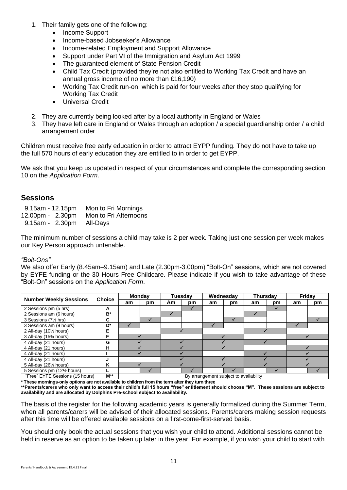- 1. Their family gets one of the following:
	- Income Support
	- Income-based Jobseeker's Allowance
	- Income-related Employment and Support Allowance
	- Support under Part VI of the Immigration and Asylum Act 1999
	- The quaranteed element of State Pension Credit
	- Child Tax Credit (provided they're not also entitled to Working Tax Credit and have an annual gross income of no more than £16,190)
	- Working Tax Credit run-on, which is paid for four weeks after they stop qualifying for Working Tax Credit
	- Universal Credit
- 2. They are currently being looked after by a local authority in England or Wales
- 3. They have left care in England or Wales through an adoption / a special guardianship order / a child arrangement order

Children must receive free early education in order to attract EYPP funding. They do not have to take up the full 570 hours of early education they are entitled to in order to get EYPP.

We ask that you keep us updated in respect of your circumstances and complete the corresponding section 10 on the *Application Form*.

## <span id="page-11-0"></span>**Sessions**

| $9.15$ am - 12.15pm | Mon to Fri Mornings   |
|---------------------|-----------------------|
| 12.00pm - 2.30pm    | Mon to Fri Afternoons |
| $9.15am - 2.30pm$   | All-Days              |

The minimum number of sessions a child may take is 2 per week. Taking just one session per week makes our Key Person approach untenable.

#### *"Bolt-Ons"*

We also offer Early (8.45am–9.15am) and Late (2.30pm-3.00pm) "Bolt-On" sessions, which are not covered by EYFE funding or the 30 Hours Free Childcare. Please indicate if you wish to take advantage of these "Bolt-On" sessions on the *Application Form*.

| <b>Number Weekly Sessions</b>   |                  | <b>Monday</b>                          |    | Tuesdav |              | Wednesday    |    | Thursdav |    | Friday |    |
|---------------------------------|------------------|----------------------------------------|----|---------|--------------|--------------|----|----------|----|--------|----|
|                                 | <b>Choice</b>    | am                                     | pm | Am      | pm           | am           | pm | am       | pm | am     | pm |
| 2 Sessions pm (5 hrs)           | A                |                                        |    |         | $\checkmark$ |              |    |          |    |        |    |
| 2 Sessions am (6 hours)         | $B^*$            |                                        |    |         |              |              |    |          |    |        |    |
| 3 Sessions (71/2 hrs)           | C                |                                        |    |         |              |              |    |          |    |        |    |
| 3 Sessions am (9 hours)         | D*               |                                        |    |         |              | $\checkmark$ |    |          |    |        |    |
| 2 All-day (101/2 hours)         | Е                |                                        |    |         |              |              |    |          |    |        |    |
| 3 All-day (15% hours)           | F                |                                        |    |         |              |              |    |          |    |        |    |
| 4 All-day (21 hours)            | G                |                                        |    |         |              |              |    |          |    |        |    |
| 4 All-day (21 hours)            | н                |                                        |    |         |              |              |    |          |    |        |    |
| 4 All-day (21 hours)            |                  |                                        |    |         |              |              |    |          |    |        |    |
| 4 All-day (21 hours)            | J                |                                        |    |         |              |              |    |          |    |        |    |
| 5 All-day (261/4 hours)         | Κ                |                                        |    |         |              |              |    |          |    |        |    |
| 5 Sessions pm (121/2 hours)     |                  |                                        |    |         |              |              |    |          |    |        |    |
| "Free" EYFE Sessions (15 hours) | $M^{\star\star}$ | By arrangement subject to availability |    |         |              |              |    |          |    |        |    |

**\* These mornings-only options are not available to children from the term after they turn three**

**\*\*Parents/carers who only want to access their child's full 15 hours "free" entitlement should choose "M". These sessions are subject to availability and are allocated by Dolphins Pre-school subject to availability.**

The basis of the register for the following academic years is generally formalized during the Summer Term, when all parents/carers will be advised of their allocated sessions. Parents/carers making session requests after this time will be offered available sessions on a first-come-first-served basis.

You should only book the actual sessions that you wish your child to attend. Additional sessions cannot be held in reserve as an option to be taken up later in the year. For example, if you wish your child to start with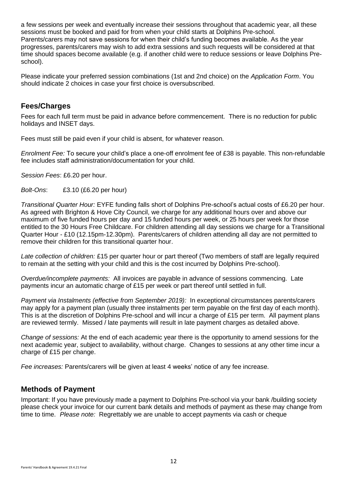a few sessions per week and eventually increase their sessions throughout that academic year, all these sessions must be booked and paid for from when your child starts at Dolphins Pre-school. Parents/carers may not save sessions for when their child's funding becomes available. As the year progresses, parents/carers may wish to add extra sessions and such requests will be considered at that time should spaces become available (e.g. if another child were to reduce sessions or leave Dolphins Preschool).

Please indicate your preferred session combinations (1st and 2nd choice) on the *Application Form*. You should indicate 2 choices in case your first choice is oversubscribed.

## <span id="page-12-0"></span>**Fees/Charges**

Fees for each full term must be paid in advance before commencement. There is no reduction for public holidays and INSET days.

Fees must still be paid even if your child is absent, for whatever reason.

*Enrolment Fee:* To secure your child's place a one-off enrolment fee of £38 is payable. This non-refundable fee includes staff administration/documentation for your child.

*Session Fees*: £6.20 per hour.

*Bolt-Ons*: £3.10 (£6.20 per hour)

*Transitional Quarter Hour:* EYFE funding falls short of Dolphins Pre-school's actual costs of £6.20 per hour. As agreed with Brighton & Hove City Council, we charge for any additional hours over and above our maximum of five funded hours per day and 15 funded hours per week, or 25 hours per week for those entitled to the 30 Hours Free Childcare. For children attending all day sessions we charge for a Transitional Quarter Hour - £10 (12.15pm-12.30pm). Parents/carers of children attending all day are not permitted to remove their children for this transitional quarter hour.

*Late collection of children:* £15 per quarter hour or part thereof (Two members of staff are legally required to remain at the setting with your child and this is the cost incurred by Dolphins Pre-school).

*Overdue/incomplete payments:* All invoices are payable in advance of sessions commencing. Late payments incur an automatic charge of £15 per week or part thereof until settled in full.

*Payment via Instalments (effective from September 2019):* In exceptional circumstances parents/carers may apply for a payment plan (usually three instalments per term payable on the first day of each month). This is at the discretion of Dolphins Pre-school and will incur a charge of £15 per term. All payment plans are reviewed termly. Missed / late payments will result in late payment charges as detailed above.

*Change of sessions:* At the end of each academic year there is the opportunity to amend sessions for the next academic year, subject to availability, without charge. Changes to sessions at any other time incur a charge of £15 per change.

*Fee increases:* Parents/carers will be given at least 4 weeks' notice of any fee increase.

## <span id="page-12-1"></span>**Methods of Payment**

Important: If you have previously made a payment to Dolphins Pre-school via your bank /building society please check your invoice for our current bank details and methods of payment as these may change from time to time. *Please note:* Regrettably we are unable to accept payments via cash or cheque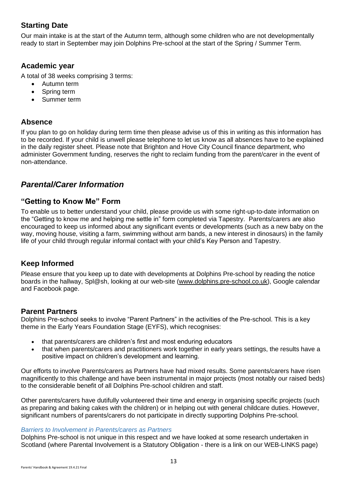## <span id="page-13-0"></span>**Starting Date**

Our main intake is at the start of the Autumn term, although some children who are not developmentally ready to start in September may join Dolphins Pre-school at the start of the Spring / Summer Term.

## <span id="page-13-1"></span>**Academic year**

A total of 38 weeks comprising 3 terms:

- Autumn term
- Spring term
- Summer term

## <span id="page-13-2"></span>**Absence**

If you plan to go on holiday during term time then please advise us of this in writing as this information has to be recorded. If your child is unwell please telephone to let us know as all absences have to be explained in the daily register sheet. Please note that Brighton and Hove City Council finance department, who administer Government funding, reserves the right to reclaim funding from the parent/carer in the event of non-attendance.

## <span id="page-13-3"></span>*Parental/Carer Information*

## <span id="page-13-4"></span>**"Getting to Know Me" Form**

To enable us to better understand your child, please provide us with some right-up-to-date information on the "Getting to know me and helping me settle in" form completed via Tapestry. Parents/carers are also encouraged to keep us informed about any significant events or developments (such as a new baby on the way, moving house, visiting a farm, swimming without arm bands, a new interest in dinosaurs) in the family life of your child through regular informal contact with your child's Key Person and Tapestry.

## <span id="page-13-5"></span>**Keep Informed**

Please ensure that you keep up to date with developments at Dolphins Pre-school by reading the notice boards in the hallway, Spl@sh, looking at our web-site [\(www.dolphins.pre-school.co.uk\)](http://www.dolphins.pre-school.co.uk/), Google calendar and Facebook page.

## <span id="page-13-6"></span>**Parent Partners**

Dolphins Pre-school seeks to involve "Parent Partners" in the activities of the Pre-school. This is a key theme in the Early Years Foundation Stage (EYFS), which recognises:

- that parents/carers are children's first and most enduring educators
- that when parents/carers and practitioners work together in early years settings, the results have a positive impact on children's development and learning.

Our efforts to involve Parents/carers as Partners have had mixed results. Some parents/carers have risen magnificently to this challenge and have been instrumental in major projects (most notably our raised beds) to the considerable benefit of all Dolphins Pre-school children and staff.

Other parents/carers have dutifully volunteered their time and energy in organising specific projects (such as preparing and baking cakes with the children) or in helping out with general childcare duties. However, significant numbers of parents/carers do not participate in directly supporting Dolphins Pre-school.

#### *Barriers to Involvement in Parents/carers as Partners*

Dolphins Pre-school is not unique in this respect and we have looked at some research undertaken in Scotland (where Parental Involvement is a Statutory Obligation - there is a link on our WEB-LINKS page)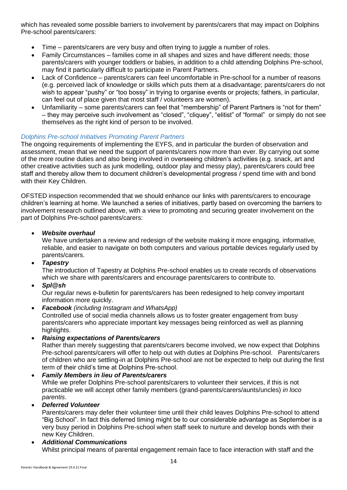which has revealed some possible barriers to involvement by parents/carers that may impact on Dolphins Pre-school parents/carers:

- Time parents/carers are very busy and often trying to juggle a number of roles.
- Family Circumstances families come in all shapes and sizes and have different needs; those parents/carers with younger toddlers or babies, in addition to a child attending Dolphins Pre-school, may find it particularly difficult to participate in Parent Partners.
- Lack of Confidence parents/carers can feel uncomfortable in Pre-school for a number of reasons (e.g. perceived lack of knowledge or skills which puts them at a disadvantage; parents/carers do not wish to appear "pushy" or "too bossy" in trying to organise events or projects; fathers, in particular, can feel out of place given that most staff / volunteers are women).
- Unfamiliarity some parents/carers can feel that "membership" of Parent Partners is "not for them" – they may perceive such involvement as "closed", "cliquey", "elitist" of "formal" or simply do not see themselves as the right kind of person to be involved.

#### *Dolphins Pre-school Initiatives Promoting Parent Partners*

The ongoing requirements of implementing the EYFS, and in particular the burden of observation and assessment, mean that we need the support of parents/carers now more than ever. By carrying out some of the more routine duties and also being involved in overseeing children's activities (e.g. snack, art and other creative activities such as junk modelling, outdoor play and messy play), parents/carers could free staff and thereby allow them to document children's developmental progress / spend time with and bond with their Key Children.

OFSTED inspection recommended that we should enhance our links with parents/carers to encourage children's learning at home. We launched a series of initiatives, partly based on overcoming the barriers to involvement research outlined above, with a view to promoting and securing greater involvement on the part of Dolphins Pre-school parents/carers:

#### • *Website overhaul*

We have undertaken a review and redesign of the website making it more engaging, informative, reliable, and easier to navigate on both computers and various portable devices regularly used by parents/carers.

• *Tapestry*

The introduction of Tapestry at Dolphins Pre-school enables us to create records of observations which we share with parents/carers and encourage parents/carers to contribute to.

• *Spl@sh*

Our regular news e-bulletin for parents/carers has been redesigned to help convey important information more quickly.

- *Facebook (including Instagram and WhatsApp)*  Controlled use of social media channels allows us to foster greater engagement from busy parents/carers who appreciate important key messages being reinforced as well as planning highlights.
- *Raising expectations of Parents/carers*

Rather than merely suggesting that parents/carers become involved, we now expect that Dolphins Pre-school parents/carers will offer to help out with duties at Dolphins Pre-school. Parents/carers of children who are settling-in at Dolphins Pre-school are not be expected to help out during the first term of their child's time at Dolphins Pre-school.

### • *Family Members in lieu of Parents/carers*

While we prefer Dolphins Pre-school parents/carers to volunteer their services, if this is not practicable we will accept other family members (grand-parents/carers/aunts/uncles) *in loco parentis*.

#### • *Deferred Volunteer*

Parents/carers may defer their volunteer time until their child leaves Dolphins Pre-school to attend "Big School". In fact this deferred timing might be to our considerable advantage as September is a very busy period in Dolphins Pre-school when staff seek to nurture and develop bonds with their new Key Children.

#### • *Additional Communications*

Whilst principal means of parental engagement remain face to face interaction with staff and the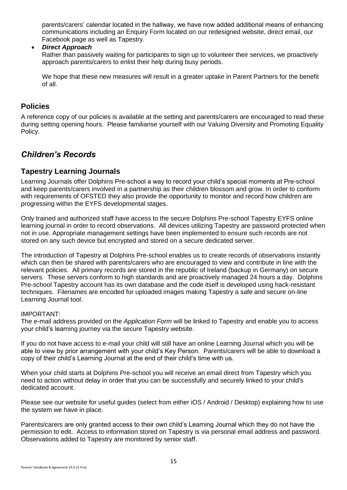parents/carers' calendar located in the hallway, we have now added additional means of enhancing communications including an Enquiry Form located on our redesigned website, direct email, our Facebook page as well as Tapestry.

• *Direct Approach*

Rather than passively waiting for participants to sign up to volunteer their services, we proactively approach parents/carers to enlist their help during busy periods.

We hope that these new measures will result in a greater uptake in Parent Partners for the benefit of all.

## <span id="page-15-0"></span>**Policies**

A reference copy of our policies is available at the setting and parents/carers are encouraged to read these during setting opening hours. Please familiarise yourself with our Valuing Diversity and Promoting Equality Policy.

## <span id="page-15-1"></span>*Children's Records*

## <span id="page-15-2"></span>**Tapestry Learning Journals**

Learning Journals offer Dolphins Pre-school a way to record your child's special moments at Pre-school and keep parents/carers involved in a partnership as their children blossom and grow. In order to conform with requirements of OFSTED they also provide the opportunity to monitor and record how children are progressing within the EYFS developmental stages.

Only trained and authorized staff have access to the secure Dolphins Pre-school Tapestry EYFS online learning journal in order to record observations. All devices utilizing Tapestry are password protected when not in use. Appropriate management settings have been implemented to ensure such records are not stored on any such device but encrypted and stored on a secure dedicated server.

The introduction of Tapestry at Dolphins Pre-school enables us to create records of observations instantly which can then be shared with parents/carers who are encouraged to view and contribute in line with the relevant policies. All primary records are stored in the republic of Ireland (backup in Germany) on secure servers. These servers conform to high standards and are proactively managed 24 hours a day. Dolphins Pre-school Tapestry account has its own database and the code itself is developed using hack-resistant techniques. Filenames are encoded for uploaded images making Tapestry a safe and secure on-line Learning Journal tool.

#### IMPORTANT:

The e-mail address provided on the *Application Form* will be linked to Tapestry and enable you to access your child's learning journey via the secure Tapestry website.

If you do not have access to e-mail your child will still have an online Learning Journal which you will be able to view by prior arrangement with your child's Key Person. Parents/carers will be able to download a copy of their child's Learning Journal at the end of their child's time with us.

When your child starts at Dolphins Pre-school you will receive an email direct from Tapestry which you need to action without delay in order that you can be successfully and securely linked to your child's dedicated account.

Please see our website for useful guides (select from either iOS / Android / Desktop) explaining how to use the system we have in place.

Parents/carers are only granted access to their own child's Learning Journal which they do not have the permission to edit. Access to information stored on Tapestry is via personal email address and password. Observations added to Tapestry are monitored by senior staff.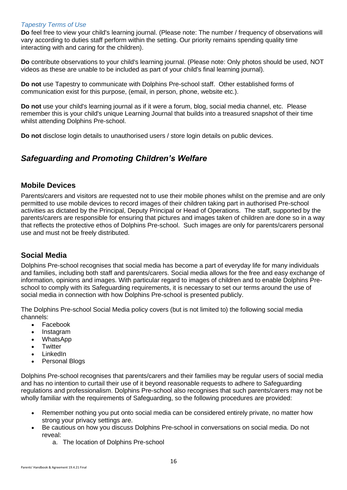#### *Tapestry Terms of Use*

**Do** feel free to view your child's learning journal. (Please note: The number / frequency of observations will vary according to duties staff perform within the setting. Our priority remains spending quality time interacting with and caring for the children).

**Do** contribute observations to your child's learning journal. (Please note: Only photos should be used, NOT videos as these are unable to be included as part of your child's final learning journal).

**Do not** use Tapestry to communicate with Dolphins Pre-school staff. Other established forms of communication exist for this purpose, (email, in person, phone, website etc.).

**Do not** use your child's learning journal as if it were a forum, blog, social media channel, etc. Please remember this is your child's unique Learning Journal that builds into a treasured snapshot of their time whilst attending Dolphins Pre-school.

**Do not** disclose login details to unauthorised users / store login details on public devices.

## <span id="page-16-0"></span>*Safeguarding and Promoting Children's Welfare*

### <span id="page-16-1"></span>**Mobile Devices**

Parents/carers and visitors are requested not to use their mobile phones whilst on the premise and are only permitted to use mobile devices to record images of their children taking part in authorised Pre-school activities as dictated by the Principal, Deputy Principal or Head of Operations. The staff, supported by the parents/carers are responsible for ensuring that pictures and images taken of children are done so in a way that reflects the protective ethos of Dolphins Pre-school. Such images are only for parents/carers personal use and must not be freely distributed.

## <span id="page-16-2"></span>**Social Media**

Dolphins Pre-school recognises that social media has become a part of everyday life for many individuals and families, including both staff and parents/carers. Social media allows for the free and easy exchange of information, opinions and images. With particular regard to images of children and to enable Dolphins Preschool to comply with its Safeguarding requirements, it is necessary to set our terms around the use of social media in connection with how Dolphins Pre-school is presented publicly.

The Dolphins Pre-school Social Media policy covers (but is not limited to) the following social media channels:

- Facebook
- Instagram
- WhatsApp
- **Twitter**
- LinkedIn
- Personal Blogs

Dolphins Pre-school recognises that parents/carers and their families may be regular users of social media and has no intention to curtail their use of it beyond reasonable requests to adhere to Safeguarding regulations and professionalism. Dolphins Pre-school also recognises that such parents/carers may not be wholly familiar with the requirements of Safeguarding, so the following procedures are provided:

- Remember nothing you put onto social media can be considered entirely private, no matter how strong your privacy settings are.
- Be cautious on how you discuss Dolphins Pre-school in conversations on social media. Do not reveal:
	- a. The location of Dolphins Pre-school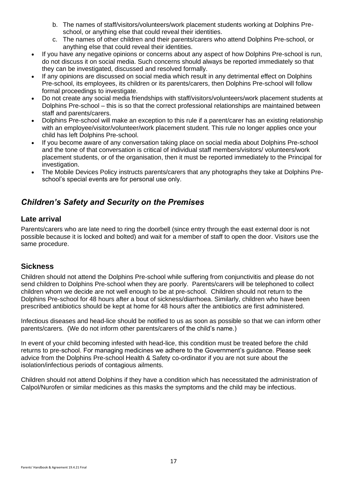- b. The names of staff/visitors/volunteers/work placement students working at Dolphins Preschool, or anything else that could reveal their identities.
- c. The names of other children and their parents/carers who attend Dolphins Pre-school, or anything else that could reveal their identities.
- If you have any negative opinions or concerns about any aspect of how Dolphins Pre-school is run, do not discuss it on social media. Such concerns should always be reported immediately so that they can be investigated, discussed and resolved formally.
- If any opinions are discussed on social media which result in any detrimental effect on Dolphins Pre-school, its employees, its children or its parents/carers, then Dolphins Pre-school will follow formal proceedings to investigate.
- Do not create any social media friendships with staff/visitors/volunteers/work placement students at Dolphins Pre-school – this is so that the correct professional relationships are maintained between staff and parents/carers.
- Dolphins Pre-school will make an exception to this rule if a parent/carer has an existing relationship with an employee/visitor/volunteer/work placement student. This rule no longer applies once your child has left Dolphins Pre-school.
- If you become aware of any conversation taking place on social media about Dolphins Pre-school and the tone of that conversation is critical of individual staff members/visitors/ volunteers/work placement students, or of the organisation, then it must be reported immediately to the Principal for investigation.
- The Mobile Devices Policy instructs parents/carers that any photographs they take at Dolphins Preschool's special events are for personal use only.

## <span id="page-17-0"></span>*Children's Safety and Security on the Premises*

## <span id="page-17-1"></span>**Late arrival**

Parents/carers who are late need to ring the doorbell (since entry through the east external door is not possible because it is locked and bolted) and wait for a member of staff to open the door. Visitors use the same procedure.

## <span id="page-17-2"></span>**Sickness**

Children should not attend the Dolphins Pre-school while suffering from conjunctivitis and please do not send children to Dolphins Pre-school when they are poorly. Parents/carers will be telephoned to collect children whom we decide are not well enough to be at pre-school. Children should not return to the Dolphins Pre-school for 48 hours after a bout of sickness/diarrhoea. Similarly, children who have been prescribed antibiotics should be kept at home for 48 hours after the antibiotics are first administered.

Infectious diseases and head-lice should be notified to us as soon as possible so that we can inform other parents/carers. (We do not inform other parents/carers of the child's name.)

In event of your child becoming infested with head-lice, this condition must be treated before the child returns to pre-school. For managing medicines we adhere to the Government's guidance. Please seek advice from the Dolphins Pre-school Health & Safety co-ordinator if you are not sure about the isolation/infectious periods of contagious ailments.

Children should not attend Dolphins if they have a condition which has necessitated the administration of Calpol/Nurofen or similar medicines as this masks the symptoms and the child may be infectious.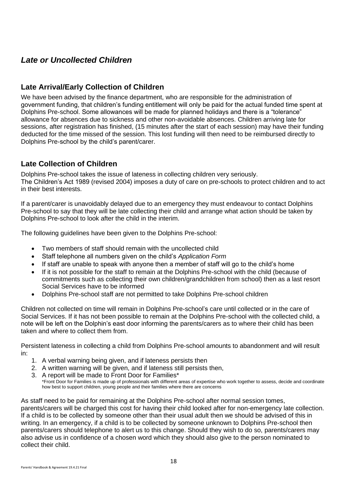## <span id="page-18-0"></span>*Late or Uncollected Children*

## <span id="page-18-1"></span>**Late Arrival/Early Collection of Children**

We have been advised by the finance department, who are responsible for the administration of government funding, that children's funding entitlement will only be paid for the actual funded time spent at Dolphins Pre-school. Some allowances will be made for planned holidays and there is a "tolerance" allowance for absences due to sickness and other non-avoidable absences. Children arriving late for sessions, after registration has finished, (15 minutes after the start of each session) may have their funding deducted for the time missed of the session. This lost funding will then need to be reimbursed directly to Dolphins Pre-school by the child's parent/carer.

## <span id="page-18-2"></span>**Late Collection of Children**

Dolphins Pre-school takes the issue of lateness in collecting children very seriously. The Children's Act 1989 (revised 2004) imposes a duty of care on pre-schools to protect children and to act in their best interests.

If a parent/carer is unavoidably delayed due to an emergency they must endeavour to contact Dolphins Pre-school to say that they will be late collecting their child and arrange what action should be taken by Dolphins Pre-school to look after the child in the interim.

The following guidelines have been given to the Dolphins Pre-school:

- Two members of staff should remain with the uncollected child
- Staff telephone all numbers given on the child's *Application Form*
- If staff are unable to speak with anyone then a member of staff will go to the child's home
- If it is not possible for the staff to remain at the Dolphins Pre-school with the child (because of commitments such as collecting their own children/grandchildren from school) then as a last resort Social Services have to be informed
- Dolphins Pre-school staff are not permitted to take Dolphins Pre-school children

Children not collected on time will remain in Dolphins Pre-school's care until collected or in the care of Social Services. If it has not been possible to remain at the Dolphins Pre-school with the collected child, a note will be left on the Dolphin's east door informing the parents/carers as to where their child has been taken and where to collect them from.

Persistent lateness in collecting a child from Dolphins Pre-school amounts to abandonment and will result in:

- 1. A verbal warning being given, and if lateness persists then
- 2. A written warning will be given, and if lateness still persists then,
- 3. A report will be made to Front Door for Families\* \*Front Door for Families is made up of professionals with different areas of expertise who work together to assess, decide and coordinate how best to support children, young people and their families where there are concerns

As staff need to be paid for remaining at the Dolphins Pre-school after normal session tomes, parents/carers will be charged this cost for having their child looked after for non-emergency late collection. If a child is to be collected by someone other than their usual adult then we should be advised of this in writing. In an emergency, if a child is to be collected by someone unknown to Dolphins Pre-school then parents/carers should telephone to alert us to this change. Should they wish to do so, parents/carers may also advise us in confidence of a chosen word which they should also give to the person nominated to collect their child.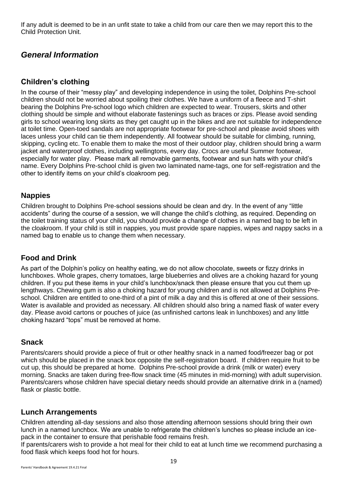If any adult is deemed to be in an unfit state to take a child from our care then we may report this to the Child Protection Unit.

## <span id="page-19-0"></span>*General Information*

## <span id="page-19-1"></span>**Children's clothing**

In the course of their "messy play" and developing independence in using the toilet, Dolphins Pre-school children should not be worried about spoiling their clothes. We have a uniform of a fleece and T-shirt bearing the Dolphins Pre-school logo which children are expected to wear. Trousers, skirts and other clothing should be simple and without elaborate fastenings such as braces or zips. Please avoid sending girls to school wearing long skirts as they get caught up in the bikes and are not suitable for independence at toilet time. Open-toed sandals are not appropriate footwear for pre-school and please avoid shoes with laces unless your child can tie them independently. All footwear should be suitable for climbing, running, skipping, cycling etc. To enable them to make the most of their outdoor play, children should bring a warm jacket and waterproof clothes, including wellingtons, every day. Crocs are useful Summer footwear, especially for water play. Please mark all removable garments, footwear and sun hats with your child's name. Every Dolphins Pre-school child is given two laminated name-tags, one for self-registration and the other to identify items on your child's cloakroom peg.

## <span id="page-19-2"></span>**Nappies**

Children brought to Dolphins Pre-school sessions should be clean and dry. In the event of any "little accidents" during the course of a session, we will change the child's clothing, as required. Depending on the toilet training status of your child, you should provide a change of clothes in a named bag to be left in the cloakroom. If your child is still in nappies, you must provide spare nappies, wipes and nappy sacks in a named bag to enable us to change them when necessary.

## <span id="page-19-3"></span>**Food and Drink**

As part of the Dolphin's policy on healthy eating, we do not allow chocolate, sweets or fizzy drinks in lunchboxes. Whole grapes, cherry tomatoes, large blueberries and olives are a choking hazard for young children. If you put these items in your child's lunchbox/snack then please ensure that you cut them up lengthways. Chewing gum is also a choking hazard for young children and is not allowed at Dolphins Preschool. Children are entitled to one-third of a pint of milk a day and this is offered at one of their sessions. Water is available and provided as necessary. All children should also bring a named flask of water every day. Please avoid cartons or pouches of juice (as unfinished cartons leak in lunchboxes) and any little choking hazard "tops" must be removed at home.

## <span id="page-19-4"></span>**Snack**

Parents/carers should provide a piece of fruit or other healthy snack in a named food/freezer bag or pot which should be placed in the snack box opposite the self-registration board. If children require fruit to be cut up, this should be prepared at home. Dolphins Pre-school provide a drink (milk or water) every morning. Snacks are taken during free-flow snack time (45 minutes in mid-morning) with adult supervision. Parents/carers whose children have special dietary needs should provide an alternative drink in a (named) flask or plastic bottle.

## <span id="page-19-5"></span>**Lunch Arrangements**

Children attending all-day sessions and also those attending afternoon sessions should bring their own lunch in a named lunchbox. We are unable to refrigerate the children's lunches so please include an icepack in the container to ensure that perishable food remains fresh.

If parents/carers wish to provide a hot meal for their child to eat at lunch time we recommend purchasing a food flask which keeps food hot for hours.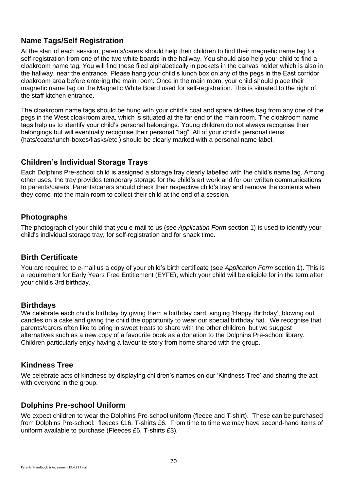## <span id="page-20-0"></span>**Name Tags/Self Registration**

At the start of each session, parents/carers should help their children to find their magnetic name tag for self-registration from one of the two white boards in the hallway. You should also help your child to find a cloakroom name tag. You will find these filed alphabetically in pockets in the canvas holder which is also in the hallway, near the entrance. Please hang your child's lunch box on any of the pegs in the East corridor cloakroom area before entering the main room. Once in the main room, your child should place their magnetic name tag on the Magnetic White Board used for self-registration. This is situated to the right of the staff kitchen entrance.

The cloakroom name tags should be hung with your child's coat and spare clothes bag from any one of the pegs in the West cloakroom area, which is situated at the far end of the main room. The cloakroom name tags help us to identify your child's personal belongings. Young children do not always recognise their belongings but will eventually recognise their personal "tag". All of your child's personal items (hats/coats/lunch-boxes/flasks/etc.) should be clearly marked with a personal name label.

## <span id="page-20-1"></span>**Children's Individual Storage Trays**

Each Dolphins Pre-school child is assigned a storage tray clearly labelled with the child's name tag. Among other uses, the tray provides temporary storage for the child's art work and for our written communications to parents/carers. Parents/carers should check their respective child's tray and remove the contents when they come into the main room to collect their child at the end of a session.

## <span id="page-20-2"></span>**Photographs**

The photograph of your child that you e-mail to us (see *Application Form* section 1) is used to identify your child's individual storage tray, for self-registration and for snack time.

## <span id="page-20-3"></span>**Birth Certificate**

You are required to e-mail us a copy of your child's birth certificate (see *Application Form* section 1). This is a requirement for Early Years Free Entitlement (EYFE), which your child will be eligible for in the term after your child's 3rd birthday.

## **Birthdays**

We celebrate each child's birthday by giving them a birthday card, singing 'Happy Birthday', blowing out candles on a cake and giving the child the opportunity to wear our special birthday hat. We recognise that parents/carers often like to bring in sweet treats to share with the other children, but we suggest alternatives such as a new copy of a favourite book as a donation to the Dolphins Pre-school library. Children particularly enjoy having a favourite story from home shared with the group.

## <span id="page-20-4"></span>**Kindness Tree**

We celebrate acts of kindness by displaying children's names on our 'Kindness Tree' and sharing the act with everyone in the group.

## <span id="page-20-5"></span>**Dolphins Pre-school Uniform**

We expect children to wear the Dolphins Pre-school uniform (fleece and T-shirt). These can be purchased from Dolphins Pre-school: fleeces £16, T-shirts £6. From time to time we may have second-hand items of uniform available to purchase (Fleeces £6, T-shirts £3).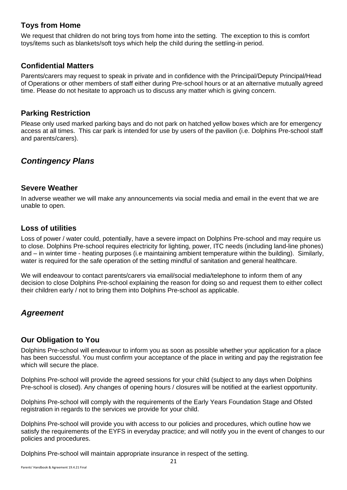## <span id="page-21-0"></span>**Toys from Home**

We request that children do not bring toys from home into the setting. The exception to this is comfort toys/items such as blankets/soft toys which help the child during the settling-in period.

## <span id="page-21-1"></span>**Confidential Matters**

Parents/carers may request to speak in private and in confidence with the Principal/Deputy Principal/Head of Operations or other members of staff either during Pre-school hours or at an alternative mutually agreed time. Please do not hesitate to approach us to discuss any matter which is giving concern.

### <span id="page-21-2"></span>**Parking Restriction**

Please only used marked parking bays and do not park on hatched yellow boxes which are for emergency access at all times. This car park is intended for use by users of the pavilion (i.e. Dolphins Pre-school staff and parents/carers).

## <span id="page-21-3"></span>*Contingency Plans*

### <span id="page-21-4"></span>**Severe Weather**

In adverse weather we will make any announcements via social media and email in the event that we are unable to open.

## <span id="page-21-5"></span>**Loss of utilities**

Loss of power / water could, potentially, have a severe impact on Dolphins Pre-school and may require us to close. Dolphins Pre-school requires electricity for lighting, power, ITC needs (including land-line phones) and – in winter time - heating purposes (i.e maintaining ambient temperature within the building). Similarly, water is required for the safe operation of the setting mindful of sanitation and general healthcare.

We will endeavour to contact parents/carers via email/social media/telephone to inform them of any decision to close Dolphins Pre-school explaining the reason for doing so and request them to either collect their children early / not to bring them into Dolphins Pre-school as applicable.

## <span id="page-21-6"></span>*Agreement*

## <span id="page-21-7"></span>**Our Obligation to You**

Dolphins Pre-school will endeavour to inform you as soon as possible whether your application for a place has been successful. You must confirm your acceptance of the place in writing and pay the registration fee which will secure the place.

Dolphins Pre-school will provide the agreed sessions for your child (subject to any days when Dolphins Pre-school is closed). Any changes of opening hours / closures will be notified at the earliest opportunity.

Dolphins Pre-school will comply with the requirements of the Early Years Foundation Stage and Ofsted registration in regards to the services we provide for your child.

Dolphins Pre-school will provide you with access to our policies and procedures, which outline how we satisfy the requirements of the EYFS in everyday practice; and will notify you in the event of changes to our policies and procedures.

Dolphins Pre-school will maintain appropriate insurance in respect of the setting.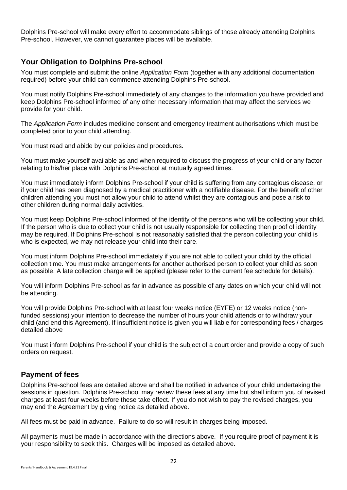Dolphins Pre-school will make every effort to accommodate siblings of those already attending Dolphins Pre-school. However, we cannot guarantee places will be available.

## <span id="page-22-0"></span>**Your Obligation to Dolphins Pre-school**

You must complete and submit the online *Application Form* (together with any additional documentation required) before your child can commence attending Dolphins Pre-school.

You must notify Dolphins Pre-school immediately of any changes to the information you have provided and keep Dolphins Pre-school informed of any other necessary information that may affect the services we provide for your child.

The *Application Form* includes medicine consent and emergency treatment authorisations which must be completed prior to your child attending.

You must read and abide by our policies and procedures.

You must make yourself available as and when required to discuss the progress of your child or any factor relating to his/her place with Dolphins Pre-school at mutually agreed times.

You must immediately inform Dolphins Pre-school if your child is suffering from any contagious disease, or if your child has been diagnosed by a medical practitioner with a notifiable disease. For the benefit of other children attending you must not allow your child to attend whilst they are contagious and pose a risk to other children during normal daily activities.

You must keep Dolphins Pre-school informed of the identity of the persons who will be collecting your child. If the person who is due to collect your child is not usually responsible for collecting then proof of identity may be required. If Dolphins Pre-school is not reasonably satisfied that the person collecting your child is who is expected, we may not release your child into their care.

You must inform Dolphins Pre-school immediately if you are not able to collect your child by the official collection time. You must make arrangements for another authorised person to collect your child as soon as possible. A late collection charge will be applied (please refer to the current fee schedule for details).

You will inform Dolphins Pre-school as far in advance as possible of any dates on which your child will not be attending.

You will provide Dolphins Pre-school with at least four weeks notice (EYFE) or 12 weeks notice (nonfunded sessions) your intention to decrease the number of hours your child attends or to withdraw your child (and end this Agreement). If insufficient notice is given you will liable for corresponding fees / charges detailed above

You must inform Dolphins Pre-school if your child is the subject of a court order and provide a copy of such orders on request.

## <span id="page-22-1"></span>**Payment of fees**

Dolphins Pre-school fees are detailed above and shall be notified in advance of your child undertaking the sessions in question. Dolphins Pre-school may review these fees at any time but shall inform you of revised charges at least four weeks before these take effect. If you do not wish to pay the revised charges, you may end the Agreement by giving notice as detailed above.

All fees must be paid in advance. Failure to do so will result in charges being imposed.

All payments must be made in accordance with the directions above. If you require proof of payment it is your responsibility to seek this. Charges will be imposed as detailed above.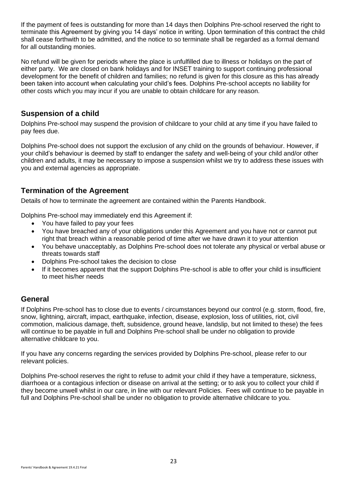If the payment of fees is outstanding for more than 14 days then Dolphins Pre-school reserved the right to terminate this Agreement by giving you 14 days' notice in writing. Upon termination of this contract the child shall cease forthwith to be admitted, and the notice to so terminate shall be regarded as a formal demand for all outstanding monies.

No refund will be given for periods where the place is unfulfilled due to illness or holidays on the part of either party. We are closed on bank holidays and for INSET training to support continuing professional development for the benefit of children and families; no refund is given for this closure as this has already been taken into account when calculating your child's fees. Dolphins Pre-school accepts no liability for other costs which you may incur if you are unable to obtain childcare for any reason.

## <span id="page-23-0"></span>**Suspension of a child**

Dolphins Pre-school may suspend the provision of childcare to your child at any time if you have failed to pay fees due.

Dolphins Pre-school does not support the exclusion of any child on the grounds of behaviour. However, if your child's behaviour is deemed by staff to endanger the safety and well-being of your child and/or other children and adults, it may be necessary to impose a suspension whilst we try to address these issues with you and external agencies as appropriate.

## <span id="page-23-1"></span>**Termination of the Agreement**

Details of how to terminate the agreement are contained within the Parents Handbook.

Dolphins Pre-school may immediately end this Agreement if:

- You have failed to pay your fees
- You have breached any of your obligations under this Agreement and you have not or cannot put right that breach within a reasonable period of time after we have drawn it to your attention
- You behave unacceptably, as Dolphins Pre-school does not tolerate any physical or verbal abuse or threats towards staff
- Dolphins Pre-school takes the decision to close
- If it becomes apparent that the support Dolphins Pre-school is able to offer your child is insufficient to meet his/her needs

## <span id="page-23-2"></span>**General**

If Dolphins Pre-school has to close due to events / circumstances beyond our control (e.g. storm, flood, fire, snow, lightning, aircraft, impact, earthquake, infection, disease, explosion, loss of utilities, riot, civil commotion, malicious damage, theft, subsidence, ground heave, landslip, but not limited to these) the fees will continue to be payable in full and Dolphins Pre-school shall be under no obligation to provide alternative childcare to you.

If you have any concerns regarding the services provided by Dolphins Pre-school, please refer to our relevant policies.

Dolphins Pre-school reserves the right to refuse to admit your child if they have a temperature, sickness, diarrhoea or a contagious infection or disease on arrival at the setting; or to ask you to collect your child if they become unwell whilst in our care, in line with our relevant Policies. Fees will continue to be payable in full and Dolphins Pre-school shall be under no obligation to provide alternative childcare to you.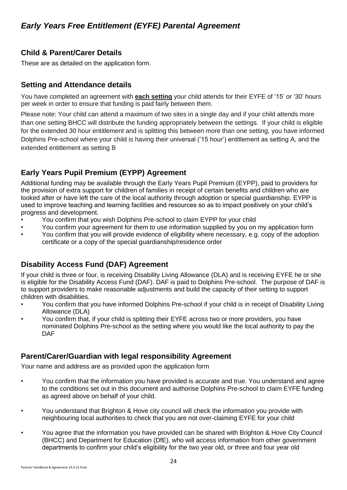## <span id="page-24-1"></span><span id="page-24-0"></span>**Child & Parent/Carer Details**

These are as detailed on the application form.

## <span id="page-24-2"></span>**Setting and Attendance details**

You have completed an agreement with **each setting** your child attends for their EYFE of '15' or '30' hours per week in order to ensure that funding is paid fairly between them.

Please note: Your child can attend a maximum of two sites in a single day and if your child attends more than one setting BHCC will distribute the funding appropriately between the settings. If your child is eligible for the extended 30 hour entitlement and is splitting this between more than one setting, you have informed Dolphins Pre-school where your child is having their universal ('15 hour') entitlement as setting A, and the extended entitlement as setting B

## <span id="page-24-3"></span>**Early Years Pupil Premium (EYPP) Agreement**

Additional funding may be available through the Early Years Pupil Premium (EYPP), paid to providers for the provision of extra support for children of families in receipt of certain benefits and children who are looked after or have left the care of the local authority through adoption or special guardianship. EYPP is used to improve teaching and learning facilities and resources so as to impact positively on your child's progress and development.

- You confirm that you wish Dolphins Pre-school to claim EYPP for your child
- You confirm your agreement for them to use information supplied by you on my application form
- You confirm that you will provide evidence of eligibility where necessary, e.g. copy of the adoption certificate or a copy of the special guardianship/residence order

## <span id="page-24-4"></span>**Disability Access Fund (DAF) Agreement**

If your child is three or four, is receiving Disability Living Allowance (DLA) and is receiving EYFE he or she is eligible for the Disability Access Fund (DAF). DAF is paid to Dolphins Pre-school. The purpose of DAF is to support providers to make reasonable adjustments and build the capacity of their setting to support children with disabilities.

- You confirm that you have informed Dolphins Pre-school if your child is in receipt of Disability Living Allowance (DLA)
- You confirm that, if your child is splitting their EYFE across two or more providers, you have nominated Dolphins Pre-school as the setting where you would like the local authority to pay the DAF

## <span id="page-24-5"></span>**Parent/Carer/Guardian with legal responsibility Agreement**

Your name and address are as provided upon the application form

- You confirm that the information you have provided is accurate and true. You understand and agree to the conditions set out in this document and authorise Dolphins Pre-school to claim EYFE funding as agreed above on behalf of your child.
- You understand that Brighton & Hove city council will check the information you provide with neighbouring local authorities to check that you are not over-claiming EYFE for your child
- You agree that the information you have provided can be shared with Brighton & Hove City Council (BHCC) and Department for Education (DfE), who will access information from other government departments to confirm your child's eligibility for the two year old, or three and four year old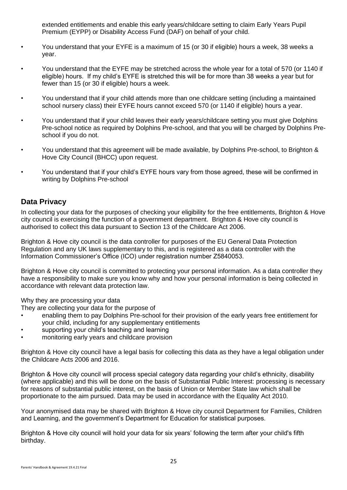extended entitlements and enable this early years/childcare setting to claim Early Years Pupil Premium (EYPP) or Disability Access Fund (DAF) on behalf of your child.

- You understand that your EYFE is a maximum of 15 (or 30 if eligible) hours a week, 38 weeks a year.
- You understand that the EYFE may be stretched across the whole year for a total of 570 (or 1140 if eligible) hours. If my child's EYFE is stretched this will be for more than 38 weeks a year but for fewer than 15 (or 30 if eligible) hours a week.
- You understand that if your child attends more than one childcare setting (including a maintained school nursery class) their EYFE hours cannot exceed 570 (or 1140 if eligible) hours a year.
- You understand that if your child leaves their early years/childcare setting you must give Dolphins Pre-school notice as required by Dolphins Pre-school, and that you will be charged by Dolphins Preschool if you do not.
- You understand that this agreement will be made available, by Dolphins Pre-school, to Brighton & Hove City Council (BHCC) upon request.
- You understand that if your child's EYFE hours vary from those agreed, these will be confirmed in writing by Dolphins Pre-school

## <span id="page-25-0"></span>**Data Privacy**

In collecting your data for the purposes of checking your eligibility for the free entitlements, Brighton & Hove city council is exercising the function of a government department. Brighton & Hove city council is authorised to collect this data pursuant to Section 13 of the Childcare Act 2006.

Brighton & Hove city council is the data controller for purposes of the EU General Data Protection Regulation and any UK laws supplementary to this, and is registered as a data controller with the Information Commissioner's Office (ICO) under registration number Z5840053.

Brighton & Hove city council is committed to protecting your personal information. As a data controller they have a responsibility to make sure you know why and how your personal information is being collected in accordance with relevant data protection law.

Why they are processing your data

They are collecting your data for the purpose of

- enabling them to pay Dolphins Pre-school for their provision of the early years free entitlement for your child, including for any supplementary entitlements
- supporting your child's teaching and learning
- monitoring early years and childcare provision

Brighton & Hove city council have a legal basis for collecting this data as they have a legal obligation under the Childcare Acts 2006 and 2016.

Brighton & Hove city council will process special category data regarding your child's ethnicity, disability (where applicable) and this will be done on the basis of Substantial Public Interest: processing is necessary for reasons of substantial public interest, on the basis of Union or Member State law which shall be proportionate to the aim pursued. Data may be used in accordance with the Equality Act 2010.

Your anonymised data may be shared with Brighton & Hove city council Department for Families, Children and Learning, and the government's Department for Education for statistical purposes.

Brighton & Hove city council will hold your data for six years' following the term after your child's fifth birthday.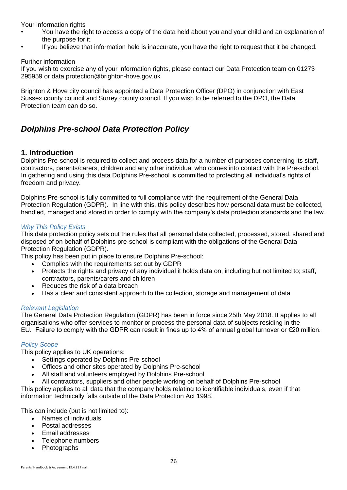Your information rights

- You have the right to access a copy of the data held about you and your child and an explanation of the purpose for it.
- If you believe that information held is inaccurate, you have the right to request that it be changed.

Further information

If you wish to exercise any of your information rights, please contact our Data Protection team on 01273 295959 or data.protection@brighton-hove.gov.uk

Brighton & Hove city council has appointed a Data Protection Officer (DPO) in conjunction with East Sussex county council and Surrey county council. If you wish to be referred to the DPO, the Data Protection team can do so.

## <span id="page-26-0"></span>*Dolphins Pre-school Data Protection Policy*

### <span id="page-26-1"></span>**1. Introduction**

Dolphins Pre-school is required to collect and process data for a number of purposes concerning its staff, contractors, parents/carers, children and any other individual who comes into contact with the Pre-school. In gathering and using this data Dolphins Pre-school is committed to protecting all individual's rights of freedom and privacy.

Dolphins Pre-school is fully committed to full compliance with the requirement of the General Data Protection Regulation (GDPR). In line with this, this policy describes how personal data must be collected, handled, managed and stored in order to comply with the company's data protection standards and the law.

#### *Why This Policy Exists*

This data protection policy sets out the rules that all personal data collected, processed, stored, shared and disposed of on behalf of Dolphins pre-school is compliant with the obligations of the General Data Protection Regulation (GDPR).

This policy has been put in place to ensure Dolphins Pre-school:

- Complies with the requirements set out by GDPR
- Protects the rights and privacy of any individual it holds data on, including but not limited to; staff, contractors, parents/carers and children
- Reduces the risk of a data breach
- Has a clear and consistent approach to the collection, storage and management of data

#### *Relevant Legislation*

The General Data Protection Regulation (GDPR) has been in force since 25th May 2018. It applies to all organisations who offer services to monitor or process the personal data of subjects residing in the EU. Failure to comply with the GDPR can result in fines up to 4% of annual global turnover or €20 million.

#### *Policy Scope*

This policy applies to UK operations:

- Settings operated by Dolphins Pre-school
- Offices and other sites operated by Dolphins Pre-school
- All staff and volunteers employed by Dolphins Pre-school
- All contractors, suppliers and other people working on behalf of Dolphins Pre-school

This policy applies to all data that the company holds relating to identifiable individuals, even if that information technically falls outside of the Data Protection Act 1998.

This can include (but is not limited to):

- Names of individuals
- Postal addresses
- Email addresses
- Telephone numbers
- Photographs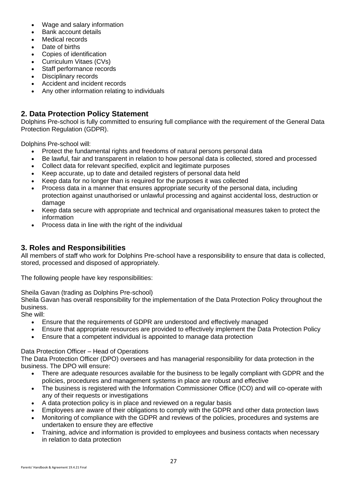- Wage and salary information
- Bank account details
- Medical records
- Date of births
- Copies of identification
- Curriculum Vitaes (CVs)
- Staff performance records
- Disciplinary records
- Accident and incident records
- Any other information relating to individuals

## <span id="page-27-0"></span>**2. Data Protection Policy Statement**

Dolphins Pre-school is fully committed to ensuring full compliance with the requirement of the General Data Protection Regulation (GDPR).

Dolphins Pre-school will:

- Protect the fundamental rights and freedoms of natural persons personal data
- Be lawful, fair and transparent in relation to how personal data is collected, stored and processed
- Collect data for relevant specified, explicit and legitimate purposes
- Keep accurate, up to date and detailed registers of personal data held
- Keep data for no longer than is required for the purposes it was collected
- Process data in a manner that ensures appropriate security of the personal data, including protection against unauthorised or unlawful processing and against accidental loss, destruction or damage
- Keep data secure with appropriate and technical and organisational measures taken to protect the information
- Process data in line with the right of the individual

## <span id="page-27-1"></span>**3. Roles and Responsibilities**

All members of staff who work for Dolphins Pre-school have a responsibility to ensure that data is collected, stored, processed and disposed of appropriately.

The following people have key responsibilities:

Sheila Gavan (trading as Dolphins Pre-school)

Sheila Gavan has overall responsibility for the implementation of the Data Protection Policy throughout the business.

She will:

- Ensure that the requirements of GDPR are understood and effectively managed
- Ensure that appropriate resources are provided to effectively implement the Data Protection Policy
- Ensure that a competent individual is appointed to manage data protection

#### Data Protection Officer – Head of Operations

The Data Protection Officer (DPO) oversees and has managerial responsibility for data protection in the business. The DPO will ensure:

- There are adequate resources available for the business to be legally compliant with GDPR and the policies, procedures and management systems in place are robust and effective
- The business is registered with the Information Commissioner Office (ICO) and will co-operate with any of their requests or investigations
- A data protection policy is in place and reviewed on a regular basis
- Employees are aware of their obligations to comply with the GDPR and other data protection laws
- Monitoring of compliance with the GDPR and reviews of the policies, procedures and systems are undertaken to ensure they are effective
- Training, advice and information is provided to employees and business contacts when necessary in relation to data protection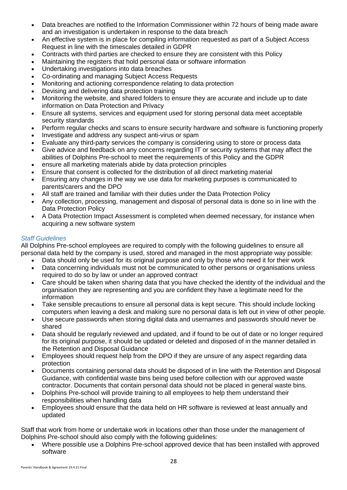- Data breaches are notified to the Information Commissioner within 72 hours of being made aware and an investigation is undertaken in response to the data breach
- An effective system is in place for compiling information requested as part of a Subject Access Request in line with the timescales detailed in GDPR
- Contracts with third parties are checked to ensure they are consistent with this Policy
- Maintaining the registers that hold personal data or software information
- Undertaking investigations into data breaches
- Co-ordinating and managing Subject Access Requests
- Monitoring and actioning correspondence relating to data protection
- Devising and delivering data protection training
- Monitoring the website, and shared folders to ensure they are accurate and include up to date information on Data Protection and Privacy
- Ensure all systems, services and equipment used for storing personal data meet acceptable security standards
- Perform regular checks and scans to ensure security hardware and software is functioning properly
- Investigate and address any suspect anti-virus or spam
- Evaluate any third-party services the company is considering using to store or process data
- Give advice and feedback on any concerns regarding IT or security systems that may affect the abilities of Dolphins Pre-school to meet the requirements of this Policy and the GDPR
- ensure all marketing materials abide by data protection principles
- Ensure that consent is collected for the distribution of all direct marketing material
- Ensuring any changes in the way we use data for marketing purposes is communicated to parents/carers and the DPO
- All staff are trained and familiar with their duties under the Data Protection Policy
- Any collection, processing, management and disposal of personal data is done so in line with the Data Protection Policy
- A Data Protection Impact Assessment is completed when deemed necessary, for instance when acquiring a new software system

### *Staff Guidelines*

All Dolphins Pre-school employees are required to comply with the following guidelines to ensure all personal data held by the company is used, stored and managed in the most appropriate way possible:

- Data should only be used for its original purpose and only by those who need it for their work
- Data concerning individuals must not be communicated to other persons or organisations unless required to do so by law or under an approved contract
- Care should be taken when sharing data that you have checked the identity of the individual and the organisation they are representing and you are confident they have a legitimate need for the information
- Take sensible precautions to ensure all personal data is kept secure. This should include locking computers when leaving a desk and making sure no personal data is left out in view of other people.
- Use secure passwords when storing digital data and usernames and passwords should never be shared
- Data should be regularly reviewed and updated, and if found to be out of date or no longer required for its original purpose, it should be updated or deleted and disposed of in the manner detailed in the Retention and Disposal Guidance
- Employees should request help from the DPO if they are unsure of any aspect regarding data protection
- Documents containing personal data should be disposed of in line with the Retention and Disposal Guidance, with confidential waste bins being used before collection with our approved waste contractor. Documents that contain personal data should not be placed in general waste bins.
- Dolphins Pre-school will provide training to all employees to help them understand their responsibilities when handling data
- Employees should ensure that the data held on HR software is reviewed at least annually and updated

Staff that work from home or undertake work in locations other than those under the management of Dolphins Pre-school should also comply with the following guidelines:

• Where possible use a Dolphins Pre-school approved device that has been installed with approved software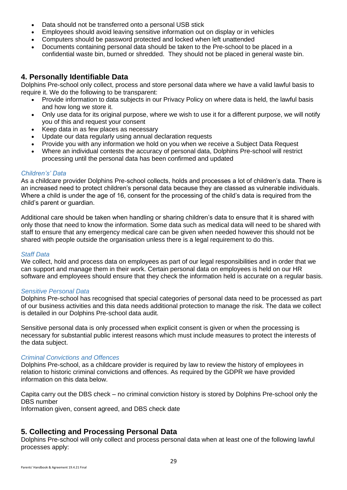- Data should not be transferred onto a personal USB stick
- Employees should avoid leaving sensitive information out on display or in vehicles
- Computers should be password protected and locked when left unattended
- Documents containing personal data should be taken to the Pre-school to be placed in a confidential waste bin, burned or shredded. They should not be placed in general waste bin.

## <span id="page-29-0"></span>**4. Personally Identifiable Data**

Dolphins Pre-school only collect, process and store personal data where we have a valid lawful basis to require it. We do the following to be transparent:

- Provide information to data subjects in our Privacy Policy on where data is held, the lawful basis and how long we store it.
- Only use data for its original purpose, where we wish to use it for a different purpose, we will notify you of this and request your consent
- Keep data in as few places as necessary
- Update our data regularly using annual declaration requests
- Provide you with any information we hold on you when we receive a Subject Data Request
- Where an individual contests the accuracy of personal data, Dolphins Pre-school will restrict processing until the personal data has been confirmed and updated

#### *Children's' Data*

As a childcare provider Dolphins Pre-school collects, holds and processes a lot of children's data. There is an increased need to protect children's personal data because they are classed as vulnerable individuals. Where a child is under the age of 16, consent for the processing of the child's data is required from the child's parent or guardian.

Additional care should be taken when handling or sharing children's data to ensure that it is shared with only those that need to know the information. Some data such as medical data will need to be shared with staff to ensure that any emergency medical care can be given when needed however this should not be shared with people outside the organisation unless there is a legal requirement to do this.

#### *Staff Data*

We collect, hold and process data on employees as part of our legal responsibilities and in order that we can support and manage them in their work. Certain personal data on employees is held on our HR software and employees should ensure that they check the information held is accurate on a regular basis.

#### *Sensitive Personal Data*

Dolphins Pre-school has recognised that special categories of personal data need to be processed as part of our business activities and this data needs additional protection to manage the risk. The data we collect is detailed in our Dolphins Pre-school data audit.

Sensitive personal data is only processed when explicit consent is given or when the processing is necessary for substantial public interest reasons which must include measures to protect the interests of the data subject.

#### *Criminal Convictions and Offences*

Dolphins Pre-school, as a childcare provider is required by law to review the history of employees in relation to historic criminal convictions and offences. As required by the GDPR we have provided information on this data below.

Capita carry out the DBS check – no criminal conviction history is stored by Dolphins Pre-school only the DBS number

Information given, consent agreed, and DBS check date

## <span id="page-29-1"></span>**5. Collecting and Processing Personal Data**

Dolphins Pre-school will only collect and process personal data when at least one of the following lawful processes apply: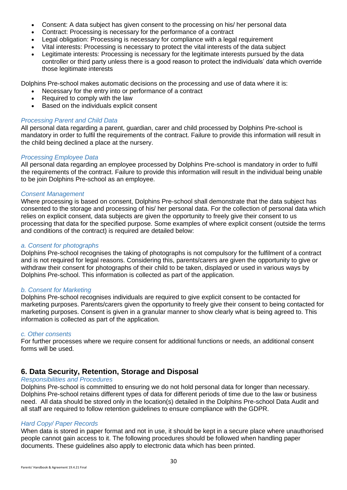- Consent: A data subject has given consent to the processing on his/ her personal data
- Contract: Processing is necessary for the performance of a contract
- Legal obligation: Processing is necessary for compliance with a legal requirement
- Vital interests: Processing is necessary to protect the vital interests of the data subject
- Legitimate interests: Processing is necessary for the legitimate interests pursued by the data controller or third party unless there is a good reason to protect the individuals' data which override those legitimate interests

Dolphins Pre-school makes automatic decisions on the processing and use of data where it is:

- Necessary for the entry into or performance of a contract
- Required to comply with the law
- Based on the individuals explicit consent

#### *Processing Parent and Child Data*

All personal data regarding a parent, guardian, carer and child processed by Dolphins Pre-school is mandatory in order to fulfil the requirements of the contract. Failure to provide this information will result in the child being declined a place at the nursery.

#### *Processing Employee Data*

All personal data regarding an employee processed by Dolphins Pre-school is mandatory in order to fulfil the requirements of the contract. Failure to provide this information will result in the individual being unable to be join Dolphins Pre-school as an employee.

#### *Consent Management*

Where processing is based on consent, Dolphins Pre-school shall demonstrate that the data subject has consented to the storage and processing of his/ her personal data. For the collection of personal data which relies on explicit consent, data subjects are given the opportunity to freely give their consent to us processing that data for the specified purpose. Some examples of where explicit consent (outside the terms and conditions of the contract) is required are detailed below:

#### *a. Consent for photographs*

Dolphins Pre-school recognises the taking of photographs is not compulsory for the fulfilment of a contract and is not required for legal reasons. Considering this, parents/carers are given the opportunity to give or withdraw their consent for photographs of their child to be taken, displayed or used in various ways by Dolphins Pre-school. This information is collected as part of the application.

#### *b. Consent for Marketing*

Dolphins Pre-school recognises individuals are required to give explicit consent to be contacted for marketing purposes. Parents/carers given the opportunity to freely give their consent to being contacted for marketing purposes. Consent is given in a granular manner to show clearly what is being agreed to. This information is collected as part of the application.

#### *c. Other consents*

For further processes where we require consent for additional functions or needs, an additional consent forms will be used.

### <span id="page-30-0"></span>**6. Data Security, Retention, Storage and Disposal**

#### *Responsibilities and Procedures*

Dolphins Pre-school is committed to ensuring we do not hold personal data for longer than necessary. Dolphins Pre-school retains different types of data for different periods of time due to the law or business need. All data should be stored only in the location(s) detailed in the Dolphins Pre-school Data Audit and all staff are required to follow retention guidelines to ensure compliance with the GDPR.

#### *Hard Copy/ Paper Records*

When data is stored in paper format and not in use, it should be kept in a secure place where unauthorised people cannot gain access to it. The following procedures should be followed when handling paper documents. These guidelines also apply to electronic data which has been printed.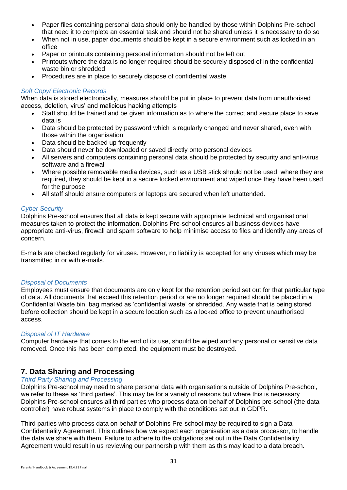- Paper files containing personal data should only be handled by those within Dolphins Pre-school that need it to complete an essential task and should not be shared unless it is necessary to do so
- When not in use, paper documents should be kept in a secure environment such as locked in an office
- Paper or printouts containing personal information should not be left out
- Printouts where the data is no longer required should be securely disposed of in the confidential waste bin or shredded
- Procedures are in place to securely dispose of confidential waste

#### *Soft Copy/ Electronic Records*

When data is stored electronically, measures should be put in place to prevent data from unauthorised access, deletion, virus' and malicious hacking attempts

- Staff should be trained and be given information as to where the correct and secure place to save data is
- Data should be protected by password which is regularly changed and never shared, even with those within the organisation
- Data should be backed up frequently
- Data should never be downloaded or saved directly onto personal devices
- All servers and computers containing personal data should be protected by security and anti-virus software and a firewall
- Where possible removable media devices, such as a USB stick should not be used, where they are required, they should be kept in a secure locked environment and wiped once they have been used for the purpose
- All staff should ensure computers or laptops are secured when left unattended.

#### *Cyber Security*

Dolphins Pre-school ensures that all data is kept secure with appropriate technical and organisational measures taken to protect the information. Dolphins Pre-school ensures all business devices have appropriate anti-virus, firewall and spam software to help minimise access to files and identify any areas of concern.

E-mails are checked regularly for viruses. However, no liability is accepted for any viruses which may be transmitted in or with e-mails.

#### *Disposal of Documents*

Employees must ensure that documents are only kept for the retention period set out for that particular type of data. All documents that exceed this retention period or are no longer required should be placed in a Confidential Waste bin, bag marked as 'confidential waste' or shredded. Any waste that is being stored before collection should be kept in a secure location such as a locked office to prevent unauthorised access.

#### *Disposal of IT Hardware*

Computer hardware that comes to the end of its use, should be wiped and any personal or sensitive data removed. Once this has been completed, the equipment must be destroyed.

### **7. Data Sharing and Processing**

#### *Third Party Sharing and Processing*

Dolphins Pre-school may need to share personal data with organisations outside of Dolphins Pre-school, we refer to these as 'third parties'. This may be for a variety of reasons but where this is necessary Dolphins Pre-school ensures all third parties who process data on behalf of Dolphins pre-school (the data controller) have robust systems in place to comply with the conditions set out in GDPR.

Third parties who process data on behalf of Dolphins Pre-school may be required to sign a Data Confidentiality Agreement. This outlines how we expect each organisation as a data processor, to handle the data we share with them. Failure to adhere to the obligations set out in the Data Confidentiality Agreement would result in us reviewing our partnership with them as this may lead to a data breach.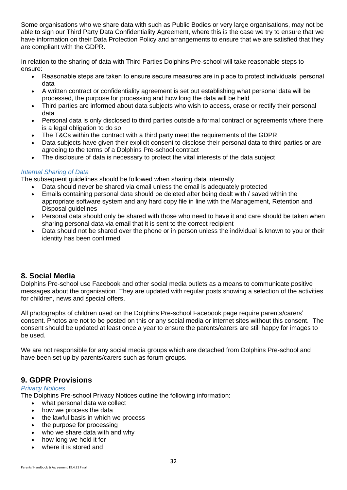Some organisations who we share data with such as Public Bodies or very large organisations, may not be able to sign our Third Party Data Confidentiality Agreement, where this is the case we try to ensure that we have information on their Data Protection Policy and arrangements to ensure that we are satisfied that they are compliant with the GDPR.

In relation to the sharing of data with Third Parties Dolphins Pre-school will take reasonable steps to ensure:

- Reasonable steps are taken to ensure secure measures are in place to protect individuals' personal data
- A written contract or confidentiality agreement is set out establishing what personal data will be processed, the purpose for processing and how long the data will be held
- Third parties are informed about data subjects who wish to access, erase or rectify their personal data
- Personal data is only disclosed to third parties outside a formal contract or agreements where there is a legal obligation to do so
- The T&Cs within the contract with a third party meet the requirements of the GDPR
- Data subjects have given their explicit consent to disclose their personal data to third parties or are agreeing to the terms of a Dolphins Pre-school contract
- The disclosure of data is necessary to protect the vital interests of the data subject

### *Internal Sharing of Data*

The subsequent guidelines should be followed when sharing data internally

- Data should never be shared via email unless the email is adequately protected
- Emails containing personal data should be deleted after being dealt with / saved within the appropriate software system and any hard copy file in line with the Management, Retention and Disposal guidelines
- Personal data should only be shared with those who need to have it and care should be taken when sharing personal data via email that it is sent to the correct recipient
- Data should not be shared over the phone or in person unless the individual is known to you or their identity has been confirmed

## <span id="page-32-0"></span>**8. Social Media**

Dolphins Pre-school use Facebook and other social media outlets as a means to communicate positive messages about the organisation. They are updated with regular posts showing a selection of the activities for children, news and special offers.

All photographs of children used on the Dolphins Pre-school Facebook page require parents/carers' consent. Photos are not to be posted on this or any social media or internet sites without this consent. The consent should be updated at least once a year to ensure the parents/carers are still happy for images to be used.

We are not responsible for any social media groups which are detached from Dolphins Pre-school and have been set up by parents/carers such as forum groups.

## **9. GDPR Provisions**

#### *Privacy Notices*

The Dolphins Pre-school Privacy Notices outline the following information:

- what personal data we collect
- how we process the data
- the lawful basis in which we process
- the purpose for processing
- who we share data with and why
- how long we hold it for
- where it is stored and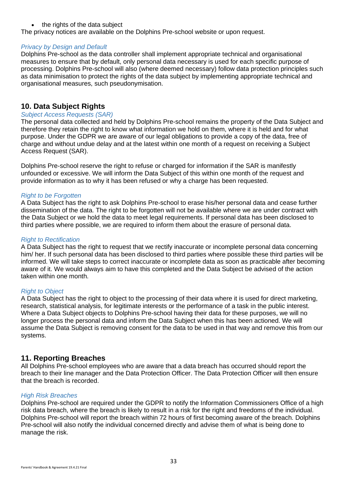#### • the rights of the data subject

The privacy notices are available on the Dolphins Pre-school website or upon request.

#### *Privacy by Design and Default*

Dolphins Pre-school as the data controller shall implement appropriate technical and organisational measures to ensure that by default, only personal data necessary is used for each specific purpose of processing. Dolphins Pre-school will also (where deemed necessary) follow data protection principles such as data minimisation to protect the rights of the data subject by implementing appropriate technical and organisational measures, such pseudonymisation.

## <span id="page-33-0"></span>**10. Data Subject Rights**

#### *Subject Access Requests (SAR)*

The personal data collected and held by Dolphins Pre-school remains the property of the Data Subject and therefore they retain the right to know what information we hold on them, where it is held and for what purpose. Under the GDPR we are aware of our legal obligations to provide a copy of the data, free of charge and without undue delay and at the latest within one month of a request on receiving a Subject Access Request (SAR).

Dolphins Pre-school reserve the right to refuse or charged for information if the SAR is manifestly unfounded or excessive. We will inform the Data Subject of this within one month of the request and provide information as to why it has been refused or why a charge has been requested.

#### *Right to be Forgotten*

A Data Subject has the right to ask Dolphins Pre-school to erase his/her personal data and cease further dissemination of the data. The right to be forgotten will not be available where we are under contract with the Data Subject or we hold the data to meet legal requirements. If personal data has been disclosed to third parties where possible, we are required to inform them about the erasure of personal data.

#### *Right to Rectification*

A Data Subject has the right to request that we rectify inaccurate or incomplete personal data concerning him/ her. If such personal data has been disclosed to third parties where possible these third parties will be informed. We will take steps to correct inaccurate or incomplete data as soon as practicable after becoming aware of it. We would always aim to have this completed and the Data Subject be advised of the action taken within one month.

#### *Right to Object*

A Data Subject has the right to object to the processing of their data where it is used for direct marketing, research, statistical analysis, for legitimate interests or the performance of a task in the public interest. Where a Data Subject objects to Dolphins Pre-school having their data for these purposes, we will no longer process the personal data and inform the Data Subject when this has been actioned. We will assume the Data Subject is removing consent for the data to be used in that way and remove this from our systems.

### <span id="page-33-1"></span>**11. Reporting Breaches**

All Dolphins Pre-school employees who are aware that a data breach has occurred should report the breach to their line manager and the Data Protection Officer. The Data Protection Officer will then ensure that the breach is recorded.

#### *High Risk Breaches*

Dolphins Pre-school are required under the GDPR to notify the Information Commissioners Office of a high risk data breach, where the breach is likely to result in a risk for the right and freedoms of the individual. Dolphins Pre-school will report the breach within 72 hours of first becoming aware of the breach. Dolphins Pre-school will also notify the individual concerned directly and advise them of what is being done to manage the risk.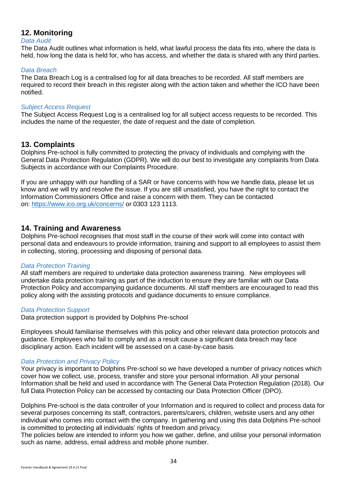## <span id="page-34-0"></span>**12. Monitoring**

#### *Data Audit*

The Data Audit outlines what information is held, what lawful process the data fits into, where the data is held, how long the data is held for, who has access, and whether the data is shared with any third parties.

#### *Data Breach*

The Data Breach Log is a centralised log for all data breaches to be recorded. All staff members are required to record their breach in this register along with the action taken and whether the ICO have been notified.

#### *Subject Access Request*

The Subject Access Request Log is a centralised log for all subject access requests to be recorded. This includes the name of the requester, the date of request and the date of completion.

### <span id="page-34-1"></span>**13. Complaints**

Dolphins Pre-school is fully committed to protecting the privacy of individuals and complying with the General Data Protection Regulation (GDPR). We will do our best to investigate any complaints from Data Subjects in accordance with our Complaints Procedure.

If you are unhappy with our handling of a SAR or have concerns with how we handle data, please let us know and we will try and resolve the issue. If you are still unsatisfied, you have the right to contact the Information Commissioners Office and raise a concern with them. They can be contacted on: <https://www.ico.org.uk/concerns/> or 0303 123 1113.

### <span id="page-34-2"></span>**14. Training and Awareness**

Dolphins Pre-school recognises that most staff in the course of their work will come into contact with personal data and endeavours to provide information, training and support to all employees to assist them in collecting, storing, processing and disposing of personal data.

#### *Data Protection Training*

All staff members are required to undertake data protection awareness training. New employees will undertake data protection training as part of the induction to ensure they are familiar with our Data Protection Policy and accompanying guidance documents. All staff members are encouraged to read this policy along with the assisting protocols and guidance documents to ensure compliance.

#### *Data Protection Support*

Data protection support is provided by Dolphins Pre-school

Employees should familiarise themselves with this policy and other relevant data protection protocols and guidance. Employees who fail to comply and as a result cause a significant data breach may face disciplinary action. Each incident will be assessed on a case-by-case basis.

#### *Data Protection and Privacy Policy*

Your privacy is important to Dolphins Pre-school so we have developed a number of privacy notices which cover how we collect, use, process, transfer and store your personal information. All your personal Information shall be held and used in accordance with The General Data Protection Regulation (2018). Our full Data Protection Policy can be accessed by contacting our Data Protection Officer (DPO).

Dolphins Pre-school is the data controller of your Information and is required to collect and process data for several purposes concerning its staff, contractors, parents/carers, children, website users and any other individual who comes into contact with the company. In gathering and using this data Dolphins Pre-school is committed to protecting all individuals' rights of freedom and privacy.

The policies below are intended to inform you how we gather, define, and utilise your personal information such as name, address, email address and mobile phone number.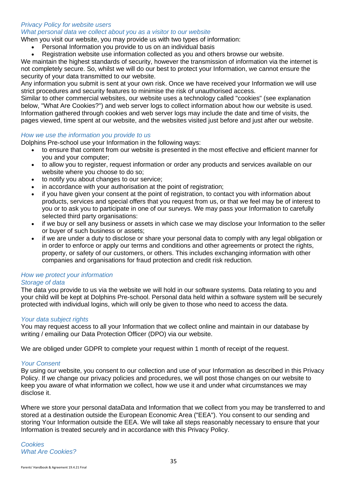#### *Privacy Policy for website users*

*What personal data we collect about you as a visitor to our website*

When you visit our website, you may provide us with two types of information:

- Personal Information you provide to us on an individual basis
- Registration website use information collected as you and others browse our website.

We maintain the highest standards of security, however the transmission of information via the internet is not completely secure. So, whilst we will do our best to protect your Information, we cannot ensure the security of your data transmitted to our website.

Any information you submit is sent at your own risk. Once we have received your Information we will use strict procedures and security features to minimise the risk of unauthorised access.

Similar to other commercial websites, our website uses a technology called "cookies" (see explanation below. "What Are Cookies?") and web server logs to collect information about how our website is used. Information gathered through cookies and web server logs may include the date and time of visits, the pages viewed, time spent at our website, and the websites visited just before and just after our website.

#### *How we use the information you provide to us*

Dolphins Pre-school use your Information in the following ways:

- to ensure that content from our website is presented in the most effective and efficient manner for you and your computer;
- to allow you to register, request information or order any products and services available on our website where you choose to do so;
- to notify you about changes to our service;
- in accordance with your authorisation at the point of registration;
- if you have given your consent at the point of registration, to contact you with information about products, services and special offers that you request from us, or that we feel may be of interest to you or to ask you to participate in one of our surveys. We may pass your Information to carefully selected third party organisations:
- if we buy or sell any business or assets in which case we may disclose your Information to the seller or buyer of such business or assets;
- if we are under a duty to disclose or share your personal data to comply with any legal obligation or in order to enforce or apply our terms and conditions and other agreements or protect the rights, property, or safety of our customers, or others. This includes exchanging information with other companies and organisations for fraud protection and credit risk reduction.

## *How we protect your information*

*Storage of data*

The data you provide to us via the website we will hold in our software systems. Data relating to you and your child will be kept at Dolphins Pre-school. Personal data held within a software system will be securely protected with individual logins, which will only be given to those who need to access the data.

#### *Your data subject rights*

You may request access to all your Information that we collect online and maintain in our database by writing / emailing our Data Protection Officer (DPO) via our website.

We are obliged under GDPR to complete your request within 1 month of receipt of the request.

#### *Your Consent*

By using our website, you consent to our collection and use of your Information as described in this Privacy Policy. If we change our privacy policies and procedures, we will post those changes on our website to keep you aware of what information we collect, how we use it and under what circumstances we may disclose it.

Where we store your personal dataData and Information that we collect from you may be transferred to and stored at a destination outside the European Economic Area ("EEA"). You consent to our sending and storing Your Information outside the EEA. We will take all steps reasonably necessary to ensure that your Information is treated securely and in accordance with this Privacy Policy.

*Cookies What Are Cookies?*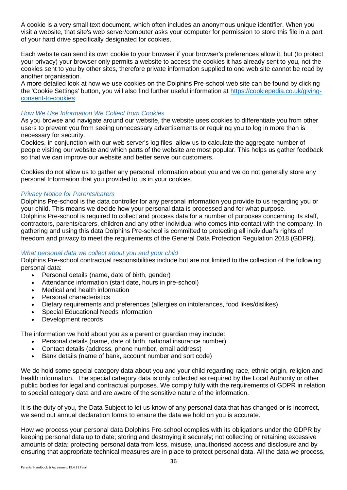A cookie is a very small text document, which often includes an anonymous unique identifier. When you visit a website, that site's web server/computer asks your computer for permission to store this file in a part of your hard drive specifically designated for cookies.

Each website can send its own cookie to your browser if your browser's preferences allow it, but (to protect your privacy) your browser only permits a website to access the cookies it has already sent to you, not the cookies sent to you by other sites, therefore private information supplied to one web site cannot be read by another organisation.

A more detailed look at how we use cookies on the Dolphins Pre-school web site can be found by clicking the 'Cookie Settings' button, you will also find further useful information at [https://cookiepedia.co.uk/giving](https://cookiepedia.co.uk/giving-consent-to-cookies)[consent-to-cookies](https://cookiepedia.co.uk/giving-consent-to-cookies)

#### *How We Use Information We Collect from Cookies*

As you browse and navigate around our website, the website uses cookies to differentiate you from other users to prevent you from seeing unnecessary advertisements or requiring you to log in more than is necessary for security.

Cookies, in conjunction with our web server's log files, allow us to calculate the aggregate number of people visiting our website and which parts of the website are most popular. This helps us gather feedback so that we can improve our website and better serve our customers.

Cookies do not allow us to gather any personal Information about you and we do not generally store any personal Information that you provided to us in your cookies.

#### *Privacy Notice for Parents/carers*

Dolphins Pre-school is the data controller for any personal information you provide to us regarding you or your child. This means we decide how your personal data is processed and for what purpose. Dolphins Pre-school is required to collect and process data for a number of purposes concerning its staff, contractors, parents/carers, children and any other individual who comes into contact with the company. In gathering and using this data Dolphins Pre-school is committed to protecting all individual's rights of freedom and privacy to meet the requirements of the General Data Protection Regulation 2018 (GDPR).

#### *What personal data we collect about you and your child*

Dolphins Pre-school contractual responsibilities include but are not limited to the collection of the following personal data:

- Personal details (name, date of birth, gender)
- Attendance information (start date, hours in pre-school)
- Medical and health information
- Personal characteristics
- Dietary requirements and preferences (allergies on intolerances, food likes/dislikes)
- Special Educational Needs information
- Development records

The information we hold about you as a parent or guardian may include:

- Personal details (name, date of birth, national insurance number)
- Contact details (address, phone number, email address)
- Bank details (name of bank, account number and sort code)

We do hold some special category data about you and your child regarding race, ethnic origin, religion and health information. The special category data is only collected as required by the Local Authority or other public bodies for legal and contractual purposes. We comply fully with the requirements of GDPR in relation to special category data and are aware of the sensitive nature of the information.

It is the duty of you, the Data Subject to let us know of any personal data that has changed or is incorrect, we send out annual declaration forms to ensure the data we hold on you is accurate.

How we process your personal data Dolphins Pre-school complies with its obligations under the GDPR by keeping personal data up to date; storing and destroying it securely; not collecting or retaining excessive amounts of data; protecting personal data from loss, misuse, unauthorised access and disclosure and by ensuring that appropriate technical measures are in place to protect personal data. All the data we process,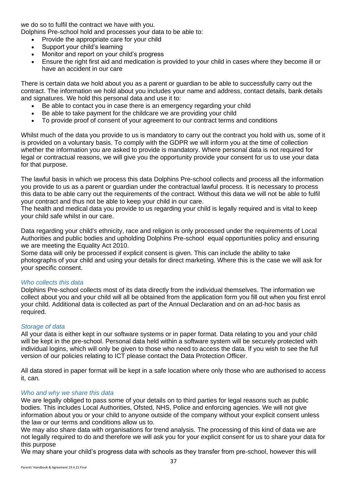we do so to fulfil the contract we have with you.

Dolphins Pre-school hold and processes your data to be able to:

- Provide the appropriate care for your child
- Support your child's learning
- Monitor and report on your child's progress
- Ensure the right first aid and medication is provided to your child in cases where they become ill or have an accident in our care

There is certain data we hold about you as a parent or guardian to be able to successfully carry out the contract. The information we hold about you includes your name and address, contact details, bank details and signatures. We hold this personal data and use it to:

- Be able to contact you in case there is an emergency regarding your child
- Be able to take payment for the childcare we are providing your child
- To provide proof of consent of your agreement to our contract terms and conditions

Whilst much of the data you provide to us is mandatory to carry out the contract you hold with us, some of it is provided on a voluntary basis. To comply with the GDPR we will inform you at the time of collection whether the information you are asked to provide is mandatory. Where personal data is not required for legal or contractual reasons, we will give you the opportunity provide your consent for us to use your data for that purpose.

The lawful basis in which we process this data Dolphins Pre-school collects and process all the information you provide to us as a parent or guardian under the contractual lawful process. It is necessary to process this data to be able carry out the requirements of the contract. Without this data we will not be able to fulfil your contract and thus not be able to keep your child in our care.

The health and medical data you provide to us regarding your child is legally required and is vital to keep your child safe whilst in our care.

Data regarding your child's ethnicity, race and religion is only processed under the requirements of Local Authorities and public bodies and upholding Dolphins Pre-school equal opportunities policy and ensuring we are meeting the Equality Act 2010.

Some data will only be processed if explicit consent is given. This can include the ability to take photographs of your child and using your details for direct marketing. Where this is the case we will ask for your specific consent.

#### *Who collects this data*

Dolphins Pre-school collects most of its data directly from the individual themselves. The information we collect about you and your child will all be obtained from the application form you fill out when you first enrol your child. Additional data is collected as part of the Annual Declaration and on an ad-hoc basis as required.

#### *Storage of data*

All your data is either kept in our software systems or in paper format. Data relating to you and your child will be kept in the pre-school. Personal data held within a software system will be securely protected with individual logins, which will only be given to those who need to access the data. If you wish to see the full version of our policies relating to ICT please contact the Data Protection Officer.

All data stored in paper format will be kept in a safe location where only those who are authorised to access it, can.

#### *Who and why we share this data*

We are legally obliged to pass some of your details on to third parties for legal reasons such as public bodies. This includes Local Authorities, Ofsted, NHS, Police and enforcing agencies. We will not give information about you or your child to anyone outside of the company without your explicit consent unless the law or our terms and conditions allow us to.

We may also share data with organisations for trend analysis. The processing of this kind of data we are not legally required to do and therefore we will ask you for your explicit consent for us to share your data for this purpose

We may share your child's progress data with schools as they transfer from pre-school, however this will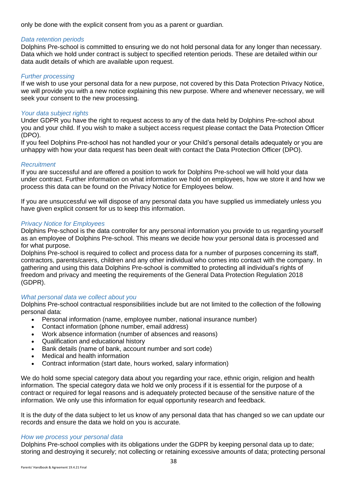only be done with the explicit consent from you as a parent or guardian.

#### *Data retention periods*

Dolphins Pre-school is committed to ensuring we do not hold personal data for any longer than necessary. Data which we hold under contract is subject to specified retention periods. These are detailed within our data audit details of which are available upon request.

#### *Further processing*

If we wish to use your personal data for a new purpose, not covered by this Data Protection Privacy Notice, we will provide you with a new notice explaining this new purpose. Where and whenever necessary, we will seek your consent to the new processing.

#### *Your data subject rights*

Under GDPR you have the right to request access to any of the data held by Dolphins Pre-school about you and your child. If you wish to make a subject access request please contact the Data Protection Officer (DPO).

If you feel Dolphins Pre-school has not handled your or your Child's personal details adequately or you are unhappy with how your data request has been dealt with contact the Data Protection Officer (DPO).

#### *Recruitment*

If you are successful and are offered a position to work for Dolphins Pre-school we will hold your data under contract. Further information on what information we hold on employees, how we store it and how we process this data can be found on the Privacy Notice for Employees below.

If you are unsuccessful we will dispose of any personal data you have supplied us immediately unless you have given explicit consent for us to keep this information.

#### *Privacy Notice for Employees*

Dolphins Pre-school is the data controller for any personal information you provide to us regarding yourself as an employee of Dolphins Pre-school. This means we decide how your personal data is processed and for what purpose.

Dolphins Pre-school is required to collect and process data for a number of purposes concerning its staff, contractors, parents/carers, children and any other individual who comes into contact with the company. In gathering and using this data Dolphins Pre-school is committed to protecting all individual's rights of freedom and privacy and meeting the requirements of the General Data Protection Regulation 2018 (GDPR).

#### *What personal data we collect about you*

Dolphins Pre-school contractual responsibilities include but are not limited to the collection of the following personal data:

- Personal information (name, employee number, national insurance number)
- Contact information (phone number, email address)
- Work absence information (number of absences and reasons)
- Qualification and educational history
- Bank details (name of bank, account number and sort code)
- Medical and health information
- Contract information (start date, hours worked, salary information)

We do hold some special category data about you regarding your race, ethnic origin, religion and health information. The special category data we hold we only process if it is essential for the purpose of a contract or required for legal reasons and is adequately protected because of the sensitive nature of the information. We only use this information for equal opportunity research and feedback.

It is the duty of the data subject to let us know of any personal data that has changed so we can update our records and ensure the data we hold on you is accurate.

#### *How we process your personal data*

Dolphins Pre-school complies with its obligations under the GDPR by keeping personal data up to date; storing and destroying it securely; not collecting or retaining excessive amounts of data; protecting personal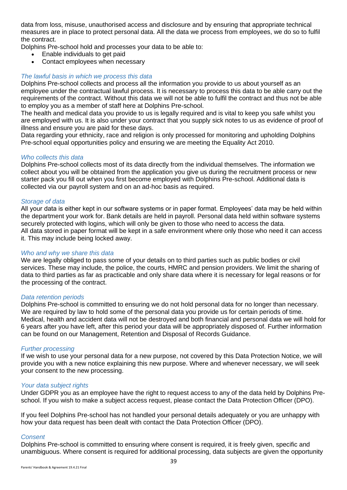data from loss, misuse, unauthorised access and disclosure and by ensuring that appropriate technical measures are in place to protect personal data. All the data we process from employees, we do so to fulfil the contract.

Dolphins Pre-school hold and processes your data to be able to:

- Enable individuals to get paid
- Contact employees when necessary

#### *The lawful basis in which we process this data*

Dolphins Pre-school collects and process all the information you provide to us about yourself as an employee under the contractual lawful process. It is necessary to process this data to be able carry out the requirements of the contract. Without this data we will not be able to fulfil the contract and thus not be able to employ you as a member of staff here at Dolphins Pre-school.

The health and medical data you provide to us is legally required and is vital to keep you safe whilst you are employed with us. It is also under your contract that you supply sick notes to us as evidence of proof of illness and ensure you are paid for these days.

Data regarding your ethnicity, race and religion is only processed for monitoring and upholding Dolphins Pre-school equal opportunities policy and ensuring we are meeting the Equality Act 2010.

#### *Who collects this data*

Dolphins Pre-school collects most of its data directly from the individual themselves. The information we collect about you will be obtained from the application you give us during the recruitment process or new starter pack you fill out when you first become employed with Dolphins Pre-school. Additional data is collected via our payroll system and on an ad-hoc basis as required.

#### *Storage of data*

All your data is either kept in our software systems or in paper format. Employees' data may be held within the department your work for. Bank details are held in payroll. Personal data held within software systems securely protected with logins, which will only be given to those who need to access the data. All data stored in paper format will be kept in a safe environment where only those who need it can access it. This may include being locked away.

#### *Who and why we share this data*

We are legally obliged to pass some of your details on to third parties such as public bodies or civil services. These may include, the police, the courts, HMRC and pension providers. We limit the sharing of data to third parties as far as practicable and only share data where it is necessary for legal reasons or for the processing of the contract.

#### *Data retention periods*

Dolphins Pre-school is committed to ensuring we do not hold personal data for no longer than necessary. We are required by law to hold some of the personal data you provide us for certain periods of time. Medical, health and accident data will not be destroyed and both financial and personal data we will hold for 6 years after you have left, after this period your data will be appropriately disposed of. Further information can be found on our Management, Retention and Disposal of Records Guidance.

#### *Further processing*

If we wish to use your personal data for a new purpose, not covered by this Data Protection Notice, we will provide you with a new notice explaining this new purpose. Where and whenever necessary, we will seek your consent to the new processing.

#### *Your data subject rights*

Under GDPR you as an employee have the right to request access to any of the data held by Dolphins Preschool. If you wish to make a subject access request, please contact the Data Protection Officer (DPO).

If you feel Dolphins Pre-school has not handled your personal details adequately or you are unhappy with how your data request has been dealt with contact the Data Protection Officer (DPO).

#### *Consent*

Dolphins Pre-school is committed to ensuring where consent is required, it is freely given, specific and unambiguous. Where consent is required for additional processing, data subjects are given the opportunity